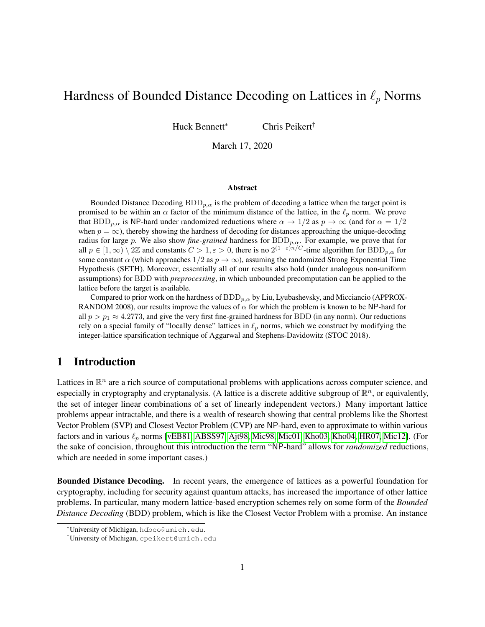# Hardness of Bounded Distance Decoding on Lattices in  $\ell_p$  Norms

Huck Bennett<sup>∗</sup> Chris Peikert†

March 17, 2020

#### Abstract

Bounded Distance Decoding  $BDD_{p,\alpha}$  is the problem of decoding a lattice when the target point is promised to be within an  $\alpha$  factor of the minimum distance of the lattice, in the  $\ell_p$  norm. We prove that BDD<sub>p, $\alpha$ </sub> is NP-hard under randomized reductions where  $\alpha \to 1/2$  as  $p \to \infty$  (and for  $\alpha = 1/2$ ) when  $p = \infty$ ), thereby showing the hardness of decoding for distances approaching the unique-decoding radius for large p. We also show *fine-grained* hardness for  $BDD_{p,\alpha}$ . For example, we prove that for all  $p \in [1,\infty) \setminus 2\mathbb{Z}$  and constants  $C > 1, \varepsilon > 0$ , there is no  $2^{(1-\varepsilon)n/C}$ -time algorithm for  $BDD_{p,\alpha}$  for some constant  $\alpha$  (which approaches  $1/2$  as  $p \to \infty$ ), assuming the randomized Strong Exponential Time Hypothesis (SETH). Moreover, essentially all of our results also hold (under analogous non-uniform assumptions) for BDD with *preprocessing*, in which unbounded precomputation can be applied to the lattice before the target is available.

Compared to prior work on the hardness of  $BDD_{p,\alpha}$  by Liu, Lyubashevsky, and Micciancio (APPROX-RANDOM 2008), our results improve the values of  $\alpha$  for which the problem is known to be NP-hard for all  $p > p_1 \approx 4.2773$ , and give the very first fine-grained hardness for BDD (in any norm). Our reductions rely on a special family of "locally dense" lattices in  $\ell_p$  norms, which we construct by modifying the integer-lattice sparsification technique of Aggarwal and Stephens-Davidowitz (STOC 2018).

## 1 Introduction

Lattices in  $\mathbb{R}^n$  are a rich source of computational problems with applications across computer science, and especially in cryptography and cryptanalysis. (A lattice is a discrete additive subgroup of  $\mathbb{R}^n$ , or equivalently, the set of integer linear combinations of a set of linearly independent vectors.) Many important lattice problems appear intractable, and there is a wealth of research showing that central problems like the Shortest Vector Problem (SVP) and Closest Vector Problem (CVP) are NP-hard, even to approximate to within various factors and in various  $\ell_p$  norms [\[vEB81,](#page-20-0) [ABSS97,](#page-18-0) [Ajt98,](#page-19-0) [Mic98,](#page-19-1) [Mic01,](#page-20-1) [Kho03,](#page-19-2) [Kho04,](#page-19-3) [HR07,](#page-19-4) [Mic12\]](#page-20-2). (For the sake of concision, throughout this introduction the term "NP-hard" allows for *randomized* reductions, which are needed in some important cases.)

Bounded Distance Decoding. In recent years, the emergence of lattices as a powerful foundation for cryptography, including for security against quantum attacks, has increased the importance of other lattice problems. In particular, many modern lattice-based encryption schemes rely on some form of the *Bounded Distance Decoding* (BDD) problem, which is like the Closest Vector Problem with a promise. An instance

<sup>∗</sup>University of Michigan, hdbco@umich.edu.

<sup>†</sup>University of Michigan, cpeikert@umich.edu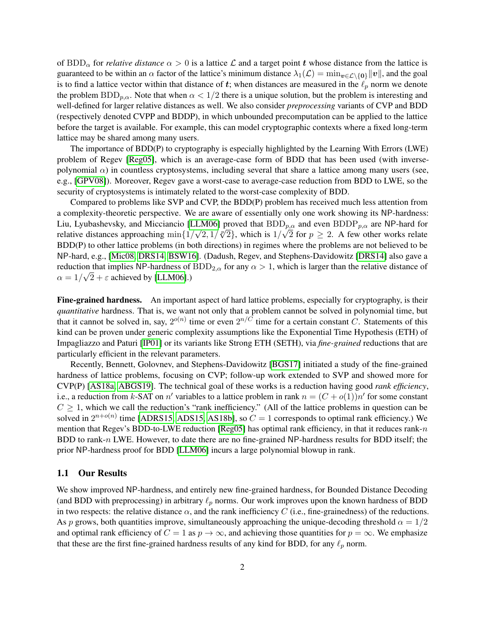of BDD<sub> $\alpha$ </sub> for *relative distance*  $\alpha > 0$  is a lattice L and a target point t whose distance from the lattice is guaranteed to be within an  $\alpha$  factor of the lattice's minimum distance  $\lambda_1(\mathcal{L}) = \min_{v \in \mathcal{L}\setminus\{0\}} ||v||$ , and the goal is to find a lattice vector within that distance of t; when distances are measured in the  $\ell_p$  norm we denote the problem BDD<sub>p, $\alpha$ </sub>. Note that when  $\alpha < 1/2$  there is a unique solution, but the problem is interesting and well-defined for larger relative distances as well. We also consider *preprocessing* variants of CVP and BDD (respectively denoted CVPP and BDDP), in which unbounded precomputation can be applied to the lattice before the target is available. For example, this can model cryptographic contexts where a fixed long-term lattice may be shared among many users.

The importance of BDD(P) to cryptography is especially highlighted by the Learning With Errors (LWE) problem of Regev [\[Reg05\]](#page-20-3), which is an average-case form of BDD that has been used (with inversepolynomial  $\alpha$ ) in countless cryptosystems, including several that share a lattice among many users (see, e.g., [\[GPV08\]](#page-19-5)). Moreover, Regev gave a worst-case to average-case reduction from BDD to LWE, so the security of cryptosystems is intimately related to the worst-case complexity of BDD.

Compared to problems like SVP and CVP, the BDD(P) problem has received much less attention from a complexity-theoretic perspective. We are aware of essentially only one work showing its NP-hardness: Liu, Lyubashevsky, and Micciancio [\[LLM06\]](#page-19-6) proved that  $BDD_{p,\alpha}$  and even  $BDD_{p,\alpha}$  are NP-hard for relative distances approaching  $\min\{1/\sqrt{2}, 1/\sqrt{2}\}$ , which is  $1/\sqrt{2}$  for  $n > 2$ . A four other works relate relative distances approaching  $\min\{1/\sqrt{2}, 1/\sqrt[6]{2}\}$ , which is  $1/\sqrt{2}$  for  $p \ge 2$ . A few other works relate BDD(P) to other lattice problems (in both directions) in regimes where the problems are not believed to be NP-hard, e.g., [\[Mic08,](#page-20-4) [DRS14,](#page-19-7) [BSW16\]](#page-19-8). (Dadush, Regev, and Stephens-Davidowitz [\[DRS14\]](#page-19-7) also gave a reduction that implies NP-hardness of  $BDD_{2,\alpha}$  for any  $\alpha > 1$ , which is larger than the relative distance of  $\alpha = 1/\sqrt{2} + \varepsilon$  achieved by [\[LLM06\]](#page-19-6).)

Fine-grained hardness. An important aspect of hard lattice problems, especially for cryptography, is their *quantitative* hardness. That is, we want not only that a problem cannot be solved in polynomial time, but that it cannot be solved in, say,  $2^{o(n)}$  time or even  $2^{n/C}$  time for a certain constant C. Statements of this kind can be proven under generic complexity assumptions like the Exponential Time Hypothesis (ETH) of Impagliazzo and Paturi [\[IP01\]](#page-19-9) or its variants like Strong ETH (SETH), via *fine-grained* reductions that are particularly efficient in the relevant parameters.

Recently, Bennett, Golovnev, and Stephens-Davidowitz [\[BGS17\]](#page-19-10) initiated a study of the fine-grained hardness of lattice problems, focusing on CVP; follow-up work extended to SVP and showed more for CVP(P) [\[AS18a,](#page-19-11) [ABGS19\]](#page-18-1). The technical goal of these works is a reduction having good *rank efficiency*, i.e., a reduction from k-SAT on n' variables to a lattice problem in rank  $n = (C + o(1))n'$  for some constant  $C \geq 1$ , which we call the reduction's "rank inefficiency." (All of the lattice problems in question can be solved in  $2^{n+o(n)}$  time [\[ADRS15,](#page-18-2) [ADS15,](#page-19-12) [AS18b\]](#page-19-13), so  $C = 1$  corresponds to optimal rank efficiency.) We mention that Regev's BDD-to-LWE reduction [\[Reg05\]](#page-20-3) has optimal rank efficiency, in that it reduces rank-n BDD to rank- $n$  LWE. However, to date there are no fine-grained NP-hardness results for BDD itself; the prior NP-hardness proof for BDD [\[LLM06\]](#page-19-6) incurs a large polynomial blowup in rank.

#### 1.1 Our Results

We show improved NP-hardness, and entirely new fine-grained hardness, for Bounded Distance Decoding (and BDD with preprocessing) in arbitrary  $\ell_p$  norms. Our work improves upon the known hardness of BDD in two respects: the relative distance  $\alpha$ , and the rank inefficiency C (i.e., fine-grainedness) of the reductions. As p grows, both quantities improve, simultaneously approaching the unique-decoding threshold  $\alpha = 1/2$ and optimal rank efficiency of  $C = 1$  as  $p \to \infty$ , and achieving those quantities for  $p = \infty$ . We emphasize that these are the first fine-grained hardness results of any kind for BDD, for any  $\ell_p$  norm.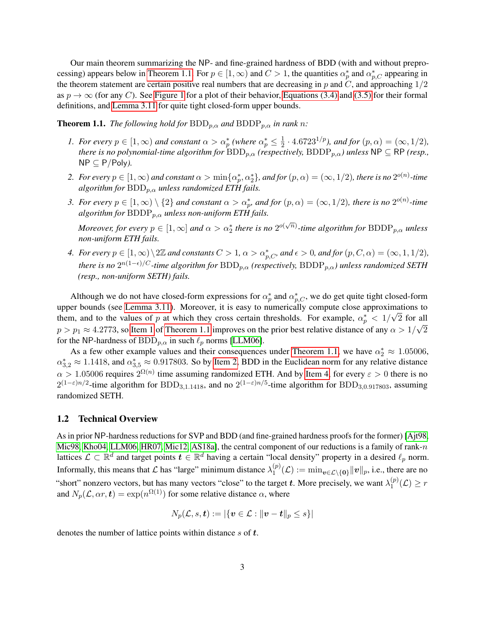Our main theorem summarizing the NP- and fine-grained hardness of BDD (with and without prepro-cessing) appears below in [Theorem 1.1.](#page-2-0) For  $p \in [1,\infty)$  and  $C > 1$ , the quantities  $\alpha_p^*$  and  $\alpha_{p,C}^*$  appearing in the theorem statement are certain positive real numbers that are decreasing in  $p$  and  $C$ , and approaching  $1/2$ as  $p \to \infty$  (for any C). See [Figure 1](#page-3-0) for a plot of their behavior, [Equations \(3.4\)](#page-15-0) and [\(3.5\)](#page-15-1) for their formal definitions, and [Lemma 3.11](#page-17-0) for quite tight closed-form upper bounds.

<span id="page-2-0"></span>**Theorem 1.1.** *The following hold for*  $BDD_{p,\alpha}$  *and*  $BDDP_{p,\alpha}$  *in rank n:* 

- <span id="page-2-1"></span>*1. For every*  $p \in [1, \infty)$  *and constant*  $\alpha > \alpha_p^*$  *(where*  $\alpha_p^* \leq \frac{1}{2}$ )  $\frac{1}{2} \cdot 4.6723^{1/p}$ *), and for*  $(p, \alpha) = (\infty, 1/2)$ *, there is no polynomial-time algorithm for*  $BDD_{p,\alpha}$  *(respectively, BDDP<sub>p,* $\alpha$ *</sub>) unless* NP  $\subseteq$  RP *(resp.,* NP ⊆ P/Poly*).*
- <span id="page-2-2"></span>2. For every  $p \in [1,\infty)$  and constant  $\alpha > \min\{\alpha_p^*,\alpha_2^*\}$ , and for  $(p,\alpha) = (\infty,1/2)$ , there is no  $2^{o(n)}$ -time *algorithm for*  $BDD_{n,\alpha}$  *unless randomized ETH fails.*
- *3. For every*  $p \in [1,\infty) \setminus \{2\}$  and constant  $\alpha > \alpha_p^*$ , and for  $(p,\alpha) = (\infty,1/2)$ , there is no  $2^{o(n)}$ -time *algorithm for* BDDPp,α *unless non-uniform ETH fails.*

*Moreover, for every*  $p \in [1, \infty]$  and  $\alpha > \alpha_2^*$  there is no  $2^{o(\sqrt{n})}$ -time algorithm for  $BDDP_{p,\alpha}$  unless *non-uniform ETH fails.*

<span id="page-2-3"></span>*4. For every*  $p \in [1, \infty) \setminus 2\mathbb{Z}$  *and constants*  $C > 1$ ,  $\alpha > \alpha_{p,C}^*$ , and  $\epsilon > 0$ , and for  $(p, C, \alpha) = (\infty, 1, 1/2)$ , there is no  $2^{n(1-\epsilon)/C}$ -time algorithm for  $\mathrm{BDD}_{p,\alpha}$  (respectively,  $\mathrm{BDDP}_{p,\alpha}$ ) unless randomized SETH *(resp., non-uniform SETH) fails.*

Although we do not have closed-form expressions for  $\alpha_p^*$  and  $\alpha_{p,C}^*$ , we do get quite tight closed-form upper bounds (see [Lemma 3.11\)](#page-17-0). Moreover, it is easy to numerically compute close approximations to them, and to the values of p at which they cross certain thresholds. For example,  $\alpha_p^* < 1/\sqrt{2}$  for all  $p > p_1 \approx 4.2773$ , so [Item 1](#page-2-1) of [Theorem 1.1](#page-2-0) improves on the prior best relative distance of any  $\alpha > 1/\sqrt{2}$ for the NP-hardness of BDD<sub>p, $\alpha$ </sub> in such  $\ell_p$  norms [\[LLM06\]](#page-19-6).

As a few other example values and their consequences under [Theorem 1.1,](#page-2-0) we have  $\alpha_2^* \approx 1.05006$ ,  $\alpha_{3,2}^* \approx 1.1418$ , and  $\alpha_{3,5}^* \approx 0.917803$ . So by [Item 2,](#page-2-2) BDD in the Euclidean norm for any relative distance  $\alpha > 1.05006$  requires  $2^{\Omega(n)}$  time assuming randomized ETH. And by [Item 4,](#page-2-3) for every  $\varepsilon > 0$  there is no  $2^{(1-\varepsilon)n/2}$ -time algorithm for BDD<sub>3,1.1418</sub>, and no  $2^{(1-\varepsilon)n/5}$ -time algorithm for BDD<sub>3,0.917803</sub>, assuming randomized SETH.

#### 1.2 Technical Overview

As in prior NP-hardness reductions for SVP and BDD (and fine-grained hardness proofs for the former) [\[Ajt98,](#page-19-0) [Mic98,](#page-19-1) [Kho04,](#page-19-3) [LLM06,](#page-19-6) [HR07,](#page-19-4) [Mic12,](#page-20-2) [AS18a\]](#page-19-11), the central component of our reductions is a family of rank-n lattices  $\mathcal{L} \subset \mathbb{R}^d$  and target points  $\bm{t} \in \mathbb{R}^d$  having a certain "local density" property in a desired  $\ell_p$  norm. Informally, this means that  $\mathcal L$  has "large" minimum distance  $\lambda_1^{(p)}$  $\mathcal{L}_1^{(p)}(\mathcal{L}):=\min_{\boldsymbol{v}\in\mathcal{L}\backslash\{\boldsymbol{0}\}}\|\boldsymbol{v}\|_p$ , i.e., there are no "short" nonzero vectors, but has many vectors "close" to the target t. More precisely, we want  $\lambda_1^{(p)}$  $I_1^{(p)}(\mathcal{L}) \geq r$ and  $N_p(\mathcal{L}, \alpha r, t) = \exp(n^{\Omega(1)})$  for some relative distance  $\alpha$ , where

$$
N_p(\mathcal{L},s,\boldsymbol{t}):=|\{\boldsymbol{v}\in \mathcal{L}: \|\boldsymbol{v}-\boldsymbol{t}\|_p\leq s\}|
$$

denotes the number of lattice points within distance s of t.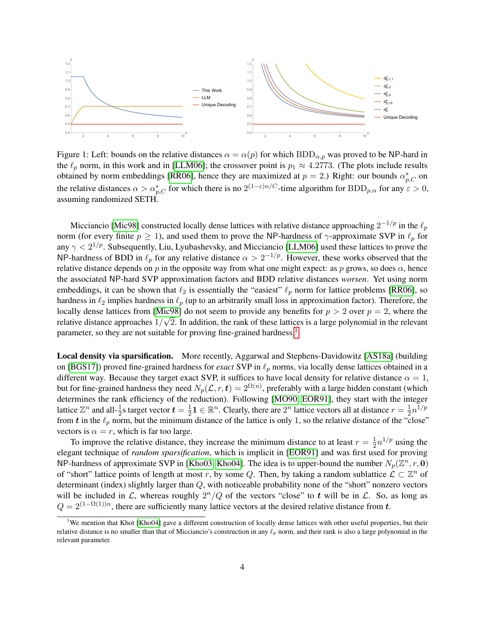

<span id="page-3-0"></span>Figure 1: Left: bounds on the relative distances  $\alpha = \alpha(p)$  for which  $BDD_{\alpha,p}$  was proved to be NP-hard in the  $\ell_p$  norm, in this work and in [\[LLM06\]](#page-19-6); the crossover point is  $p_1 \approx 4.2773$ . (The plots include results obtained by norm embeddings [\[RR06\]](#page-20-5), hence they are maximized at  $p = 2$ .) Right: our bounds  $\alpha_{p,C}^*$  on the relative distances  $\alpha > \alpha_{p,C}^*$  for which there is no  $2^{(1-\varepsilon)n/C}$ -time algorithm for  $BDD_{p,\alpha}$  for any  $\varepsilon > 0$ , assuming randomized SETH.

Micciancio [\[Mic98\]](#page-19-1) constructed locally dense lattices with relative distance approaching  $2^{-1/p}$  in the  $\ell_p$ norm (for every finite  $p \ge 1$ ), and used them to prove the NP-hardness of  $\gamma$ -approximate SVP in  $\ell_p$  for any  $\gamma < 2^{1/p}$ . Subsequently, Liu, Lyubashevsky, and Micciancio [\[LLM06\]](#page-19-6) used these lattices to prove the NP-hardness of BDD in  $\ell_p$  for any relative distance  $\alpha > 2^{-1/p}$ . However, these works observed that the relative distance depends on p in the opposite way from what one might expect: as p grows, so does  $\alpha$ , hence the associated NP-hard SVP approximation factors and BDD relative distances *worsen*. Yet using norm embeddings, it can be shown that  $\ell_2$  is essentially the "easiest"  $\ell_p$  norm for lattice problems [\[RR06\]](#page-20-5), so hardness in  $\ell_2$  implies hardness in  $\ell_p$  (up to an arbitrarily small loss in approximation factor). Therefore, the locally dense lattices from [\[Mic98\]](#page-19-1) do not seem to provide any benefits for  $p > 2$  over  $p = 2$ , where the relative distance approaches  $1/\sqrt{2}$ . In addition, the rank of these lattices is a large polynomial in the relevant parameter, so they are not suitable for proving fine-grained hardness.<sup>[1](#page-3-1)</sup>

Local density via sparsification. More recently, Aggarwal and Stephens-Davidowitz [\[AS18a\]](#page-19-11) (building on [\[BGS17\]](#page-19-10)) proved fine-grained hardness for *exact* SVP in  $\ell_p$  norms, via locally dense lattices obtained in a different way. Because they target exact SVP, it suffices to have local density for relative distance  $\alpha = 1$ , but for fine-grained hardness they need  $N_p(\mathcal{L}, r, \bm{t}) = 2^{\Omega(n)},$  preferably with a large hidden constant (which determines the rank efficiency of the reduction). Following [\[MO90,](#page-20-6) [EOR91\]](#page-19-14), they start with the integer lattice  $\mathbb{Z}^n$  and all- $\frac{1}{2}$ s target vector  $t = \frac{1}{2}$  $\frac{1}{2}$ **1**  $\in \mathbb{R}^n$ . Clearly, there are  $2^n$  lattice vectors all at distance  $r = \frac{1}{2}$  $\frac{1}{2}n^{1/p}$ from t in the  $\ell_p$  norm, but the minimum distance of the lattice is only 1, so the relative distance of the "close" vectors is  $\alpha = r$ , which is far too large.

To improve the relative distance, they increase the minimum distance to at least  $r = \frac{1}{2}$  $\frac{1}{2}n^{1/p}$  using the elegant technique of *random sparsification*, which is implicit in [\[EOR91\]](#page-19-14) and was first used for proving NP-hardness of approximate SVP in [\[Kho03,](#page-19-2) [Kho04\]](#page-19-3). The idea is to upper-bound the number  $N_p(\mathbb{Z}^n, r, \mathbf{0})$ of "short" lattice points of length at most r, by some Q. Then, by taking a random sublattice  $\mathcal{L} \subset \mathbb{Z}^n$  of determinant (index) slightly larger than Q, with noticeable probability none of the "short" nonzero vectors will be included in L, whereas roughly  $2^n/Q$  of the vectors "close" to t will be in L. So, as long as  $Q = 2^{(1-\Omega(1))n}$ , there are sufficiently many lattice vectors at the desired relative distance from t.

<span id="page-3-1"></span><sup>&</sup>lt;sup>1</sup>We mention that Khot [\[Kho04\]](#page-19-3) gave a different construction of locally dense lattices with other useful properties, but their relative distance is no smaller than that of Micciancio's construction in any  $\ell_p$  norm, and their rank is also a large polynomial in the relevant parameter.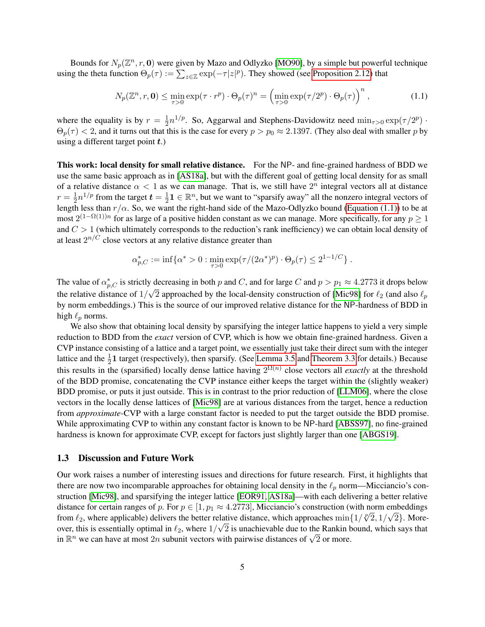Bounds for  $N_p(\mathbb{Z}^n, r, 0)$  were given by Mazo and Odlyzko [\[MO90\]](#page-20-6), by a simple but powerful technique using the theta function  $\Theta_p(\tau) := \sum_{z \in \mathbb{Z}} \exp(-\tau |z|^p)$ . They showed (see [Proposition 2.12\)](#page-10-0) that

<span id="page-4-0"></span>
$$
N_p(\mathbb{Z}^n, r, \mathbf{0}) \le \min_{\tau > 0} \exp(\tau \cdot r^p) \cdot \Theta_p(\tau)^n = \left(\min_{\tau > 0} \exp(\tau/2^p) \cdot \Theta_p(\tau)\right)^n,\tag{1.1}
$$

where the equality is by  $r = \frac{1}{2}$  $\frac{1}{2}n^{1/p}$ . So, Aggarwal and Stephens-Davidowitz need  $\min_{\tau>0} \exp(\tau/2^p)$ .  $\Theta_p(\tau) < 2$ , and it turns out that this is the case for every  $p > p_0 \approx 2.1397$ . (They also deal with smaller p by using a different target point  $t$ .)

This work: local density for small relative distance. For the NP- and fine-grained hardness of BDD we use the same basic approach as in [\[AS18a\]](#page-19-11), but with the different goal of getting local density for as small of a relative distance  $\alpha < 1$  as we can manage. That is, we still have  $2^n$  integral vectors all at distance  $r=\frac{1}{2}$  $\frac{1}{2}n^{1/p}$  from the target  $t = \frac{1}{2}$  $\frac{1}{2}$ **1**  $\in \mathbb{R}^n$ , but we want to "sparsify away" all the nonzero integral vectors of length less than  $r/\alpha$ . So, we want the right-hand side of the Mazo-Odlyzko bound [\(Equation \(1.1\)\)](#page-4-0) to be at most  $2^{(1-\Omega(1))n}$  for as large of a positive hidden constant as we can manage. More specifically, for any  $p \ge 1$ and  $C > 1$  (which ultimately corresponds to the reduction's rank inefficiency) we can obtain local density of at least  $2^{n/C}$  close vectors at any relative distance greater than

$$
\alpha_{p,C}^* := \inf \{ \alpha^* > 0 : \min_{\tau > 0} \exp(\tau/(2\alpha^*)^p) \cdot \Theta_p(\tau) \le 2^{1-1/C} \}.
$$

The value of  $\alpha_{p,C}^*$  is strictly decreasing in both p and C, and for large C and  $p > p_1 \approx 4.2773$  it drops below the relative distance of  $1/$ √ 2 approached by the local-density construction of [\[Mic98\]](#page-19-1) for  $\ell_2$  (and also  $\ell_p$ by norm embeddings.) This is the source of our improved relative distance for the NP-hardness of BDD in high  $\ell_p$  norms.

We also show that obtaining local density by sparsifying the integer lattice happens to yield a very simple reduction to BDD from the *exact* version of CVP, which is how we obtain fine-grained hardness. Given a CVP instance consisting of a lattice and a target point, we essentially just take their direct sum with the integer lattice and the  $\frac{1}{2}$ 1 target (respectively), then sparsify. (See [Lemma 3.5](#page-14-0) and [Theorem 3.3](#page-13-0) for details.) Because this results in the (sparsified) locally dense lattice having  $2^{\Omega(n)}$  close vectors all *exactly* at the threshold of the BDD promise, concatenating the CVP instance either keeps the target within the (slightly weaker) BDD promise, or puts it just outside. This is in contrast to the prior reduction of [\[LLM06\]](#page-19-6), where the close vectors in the locally dense lattices of [\[Mic98\]](#page-19-1) are at various distances from the target, hence a reduction from *approximate*-CVP with a large constant factor is needed to put the target outside the BDD promise. While approximating CVP to within any constant factor is known to be NP-hard [\[ABSS97\]](#page-18-0), no fine-grained hardness is known for approximate CVP, except for factors just slightly larger than one [\[ABGS19\]](#page-18-1).

#### 1.3 Discussion and Future Work

Our work raises a number of interesting issues and directions for future research. First, it highlights that there are now two incomparable approaches for obtaining local density in the  $\ell_p$  norm—Micciancio's construction [\[Mic98\]](#page-19-1), and sparsifying the integer lattice [\[EOR91,](#page-19-14) [AS18a\]](#page-19-11)—with each delivering a better relative distance for certain ranges of p. For  $p \in [1, p_1 \approx 4.2773]$ , Micciancio's construction (with norm embeddings  $f_{\text{com}}$ ) where embigable) delivers the better relative distance, which empressive  $\min[1/p/2, 1/p/2]$ . More from  $\ell_2$ , where applicable) delivers the better relative distance, which approaches min $\{1/\sqrt[p]{2}, 1/\sqrt{2}\}$ . Moreover, this is essentially optimal in  $\ell_2$ , where  $1/\sqrt{2}$  is unachievable due to the Rankin bound, which says that over, this is essentially optimal in  $\ell_2$ , where  $1/\sqrt{2}$  is unachievable due to the Kankin t<br>in  $\mathbb{R}^n$  we can have at most  $2n$  subunit vectors with pairwise distances of  $\sqrt{2}$  or more.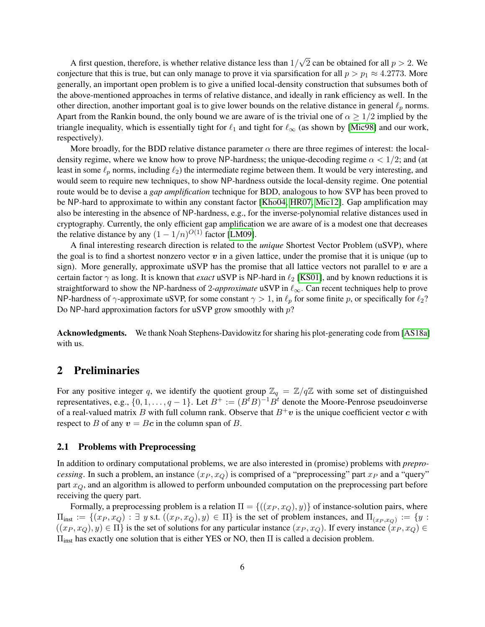A first question, therefore, is whether relative distance less than  $1/$ √ 2 can be obtained for all  $p > 2$ . We conjecture that this is true, but can only manage to prove it via sparsification for all  $p > p_1 \approx 4.2773$ . More generally, an important open problem is to give a unified local-density construction that subsumes both of the above-mentioned approaches in terms of relative distance, and ideally in rank efficiency as well. In the other direction, another important goal is to give lower bounds on the relative distance in general  $\ell_p$  norms. Apart from the Rankin bound, the only bound we are aware of is the trivial one of  $\alpha \geq 1/2$  implied by the triangle inequality, which is essentially tight for  $\ell_1$  and tight for  $\ell_{\infty}$  (as shown by [\[Mic98\]](#page-19-1) and our work, respectively).

More broadly, for the BDD relative distance parameter  $\alpha$  there are three regimes of interest: the localdensity regime, where we know how to prove NP-hardness; the unique-decoding regime  $\alpha < 1/2$ ; and (at least in some  $\ell_p$  norms, including  $\ell_2$ ) the intermediate regime between them. It would be very interesting, and would seem to require new techniques, to show NP-hardness outside the local-density regime. One potential route would be to devise a *gap amplification* technique for BDD, analogous to how SVP has been proved to be NP-hard to approximate to within any constant factor [\[Kho04,](#page-19-3) [HR07,](#page-19-4) [Mic12\]](#page-20-2). Gap amplification may also be interesting in the absence of NP-hardness, e.g., for the inverse-polynomial relative distances used in cryptography. Currently, the only efficient gap amplification we are aware of is a modest one that decreases the relative distance by any  $(1 - 1/n)^{O(1)}$  factor [\[LM09\]](#page-19-15).

A final interesting research direction is related to the *unique* Shortest Vector Problem (uSVP), where the goal is to find a shortest nonzero vector  $v$  in a given lattice, under the promise that it is unique (up to sign). More generally, approximate uSVP has the promise that all lattice vectors not parallel to  $v$  are a certain factor  $\gamma$  as long. It is known that *exact* uSVP is NP-hard in  $\ell_2$  [\[KS01\]](#page-19-16), and by known reductions it is straightforward to show the NP-hardness of 2-*approximate* uSVP in  $\ell_{\infty}$ . Can recent techniques help to prove NP-hardness of  $\gamma$ -approximate uSVP, for some constant  $\gamma > 1$ , in  $\ell_p$  for some finite p, or specifically for  $\ell_2$ ? Do NP-hard approximation factors for uSVP grow smoothly with  $p$ ?

Acknowledgments. We thank Noah Stephens-Davidowitz for sharing his plot-generating code from [\[AS18a\]](#page-19-11) with us.

### 2 Preliminaries

For any positive integer q, we identify the quotient group  $\mathbb{Z}_q = \mathbb{Z}/q\mathbb{Z}$  with some set of distinguished representatives, e.g.,  $\{0, 1, \ldots, q-1\}$ . Let  $B^+ := (B^t B)^{-1} B^t$  denote the Moore-Penrose pseudoinverse of a real-valued matrix B with full column rank. Observe that  $B^+v$  is the unique coefficient vector c with respect to B of any  $v = Bc$  in the column span of B.

#### 2.1 Problems with Preprocessing

In addition to ordinary computational problems, we are also interested in (promise) problems with *preprocessing*. In such a problem, an instance  $(x_P, x_Q)$  is comprised of a "preprocessing" part  $x_P$  and a "query" part  $x<sub>O</sub>$ , and an algorithm is allowed to perform unbounded computation on the preprocessing part before receiving the query part.

Formally, a preprocessing problem is a relation  $\Pi = \{((x_P, x_Q), y)\}\$  of instance-solution pairs, where  $\Pi_{\text{inst}} := \{(x_P, x_Q) : \exists \ y \text{ s.t. } ((x_P, x_Q), y) \in \Pi\}$  is the set of problem instances, and  $\Pi_{(x_P, x_Q)} := \{y :$  $((x_P, x_Q), y) \in \Pi$  is the set of solutions for any particular instance  $(x_P, x_Q)$ . If every instance  $(x_P, x_Q) \in \Pi$ Πinst has exactly one solution that is either YES or NO, then Π is called a decision problem.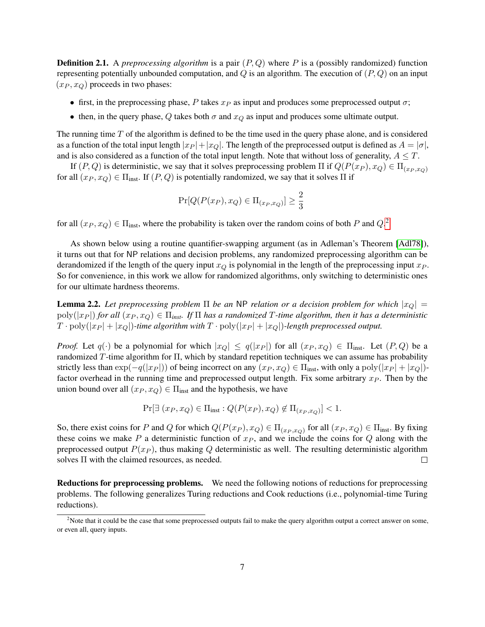**Definition 2.1.** A *preprocessing algorithm* is a pair  $(P, Q)$  where P is a (possibly randomized) function representing potentially unbounded computation, and  $Q$  is an algorithm. The execution of  $(P, Q)$  on an input  $(x_P, x_Q)$  proceeds in two phases:

- first, in the preprocessing phase, P takes  $x_P$  as input and produces some preprocessed output  $\sigma$ ;
- then, in the query phase, Q takes both  $\sigma$  and  $x_Q$  as input and produces some ultimate output.

The running time  $T$  of the algorithm is defined to be the time used in the query phase alone, and is considered as a function of the total input length  $|x_P|+|x_Q|$ . The length of the preprocessed output is defined as  $A = |\sigma|$ , and is also considered as a function of the total input length. Note that without loss of generality,  $A \leq T$ .

If  $(P,Q)$  is deterministic, we say that it solves preprocessing problem  $\Pi$  if  $Q(P(x_P), x_Q) \in \Pi_{(x_P, x_Q)}$ for all  $(x_P, x_Q) \in \Pi_{inst}$ . If  $(P, Q)$  is potentially randomized, we say that it solves  $\Pi$  if

$$
\Pr[Q(P(x_P), x_Q) \in \Pi_{(x_P, x_Q)}] \ge \frac{2}{3}
$$

for all  $(x_P, x_Q) \in \Pi_{\text{inst}}$ , where the probability is taken over the random coins of both P and  $Q$ .

As shown below using a routine quantifier-swapping argument (as in Adleman's Theorem [\[Adl78\]](#page-18-3)), it turns out that for NP relations and decision problems, any randomized preprocessing algorithm can be derandomized if the length of the query input  $x_Q$  is polynomial in the length of the preprocessing input  $x_P$ . So for convenience, in this work we allow for randomized algorithms, only switching to deterministic ones for our ultimate hardness theorems.

<span id="page-6-1"></span>**Lemma 2.2.** Let preprocessing problem  $\Pi$  be an NP relation or a decision problem for which  $|x_Q|$  =  $poly(|x_P|)$  *for all*  $(x_P, x_Q) \in \Pi_{inst}$ *. If*  $\Pi$  *has a randomized*  $T$ -time algorithm, then it has a deterministic  $T \cdot \text{poly}(|x_P| + |x_Q|)$ -time algorithm with  $T \cdot \text{poly}(|x_P| + |x_Q|)$ -length preprocessed output.

*Proof.* Let  $q(\cdot)$  be a polynomial for which  $|x_Q| \leq q(|x_P|)$  for all  $(x_P, x_Q) \in \Pi_{\text{inst}}$ . Let  $(P, Q)$  be a randomized  $T$ -time algorithm for  $\Pi$ , which by standard repetition techniques we can assume has probability strictly less than  $\exp(-q(|x_P|))$  of being incorrect on any  $(x_P, x_Q) \in \Pi_{\text{inst}}$ , with only a  $\text{poly}(|x_P| + |x_Q|)$ factor overhead in the running time and preprocessed output length. Fix some arbitrary  $x_P$ . Then by the union bound over all  $(x_P, x_Q) \in \Pi_{inst}$  and the hypothesis, we have

$$
\Pr[\exists (x_P, x_Q) \in \Pi_{\text{inst}} : Q(P(x_P), x_Q) \notin \Pi_{(x_P, x_Q)}] < 1.
$$

So, there exist coins for P and Q for which  $Q(P(x_P), x_Q) \in \Pi_{(x_P, x_Q)}$  for all  $(x_P, x_Q) \in \Pi_{\text{inst}}$ . By fixing these coins we make P a deterministic function of  $x_P$ , and we include the coins for Q along with the preprocessed output  $P(x_P)$ , thus making Q deterministic as well. The resulting deterministic algorithm solves Π with the claimed resources, as needed.  $\Box$ 

Reductions for preprocessing problems. We need the following notions of reductions for preprocessing problems. The following generalizes Turing reductions and Cook reductions (i.e., polynomial-time Turing reductions).

<span id="page-6-2"></span><span id="page-6-0"></span><sup>&</sup>lt;sup>2</sup>Note that it could be the case that some preprocessed outputs fail to make the query algorithm output a correct answer on some, or even all, query inputs.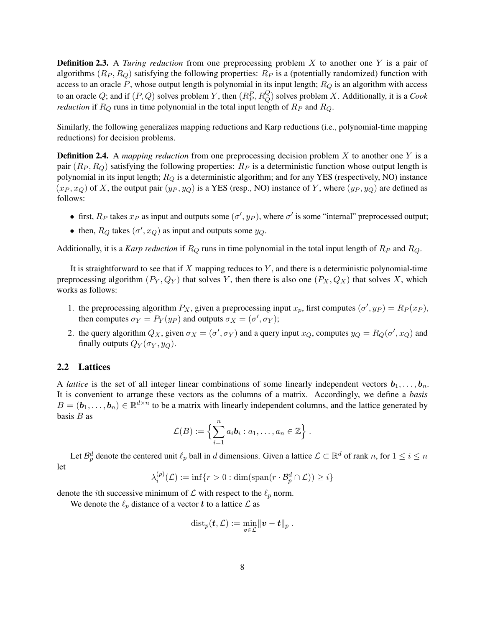**Definition 2.3.** A *Turing reduction* from one preprocessing problem X to another one Y is a pair of algorithms  $(R_P, R_Q)$  satisfying the following properties:  $R_P$  is a (potentially randomized) function with access to an oracle  $P$ , whose output length is polynomial in its input length;  $R_Q$  is an algorithm with access to an oracle Q; and if  $(P,Q)$  solves problem Y, then  $(R_P^P, R_Q^Q)$  solves problem X. Additionally, it is a *Cook reduction* if  $R_Q$  runs in time polynomial in the total input length of  $R_P$  and  $R_Q$ .

Similarly, the following generalizes mapping reductions and Karp reductions (i.e., polynomial-time mapping reductions) for decision problems.

<span id="page-7-0"></span>Definition 2.4. A *mapping reduction* from one preprocessing decision problem X to another one Y is a pair  $(R_P, R_Q)$  satisfying the following properties:  $R_P$  is a deterministic function whose output length is polynomial in its input length;  $R_Q$  is a deterministic algorithm; and for any YES (respectively, NO) instance  $(x_P, x_Q)$  of X, the output pair  $(y_P, y_Q)$  is a YES (resp., NO) instance of Y, where  $(y_P, y_Q)$  are defined as follows:

- first,  $R_P$  takes  $x_P$  as input and outputs some  $(\sigma', y_P)$ , where  $\sigma'$  is some "internal" preprocessed output;
- then,  $R_Q$  takes  $(\sigma', x_Q)$  as input and outputs some  $y_Q$ .

Additionally, it is a *Karp reduction* if  $R_Q$  runs in time polynomial in the total input length of  $R_P$  and  $R_Q$ .

It is straightforward to see that if X mapping reduces to Y, and there is a deterministic polynomial-time preprocessing algorithm  $(P_Y, Q_Y)$  that solves Y, then there is also one  $(P_X, Q_X)$  that solves X, which works as follows:

- 1. the preprocessing algorithm  $P_X$ , given a preprocessing input  $x_p$ , first computes  $(\sigma', y_P) = R_P(x_P)$ , then computes  $\sigma_Y = P_Y(y_P)$  and outputs  $\sigma_X = (\sigma', \sigma_Y);$
- 2. the query algorithm  $Q_X$ , given  $\sigma_X = (\sigma', \sigma_Y)$  and a query input  $x_Q$ , computes  $y_Q = R_Q(\sigma', x_Q)$  and finally outputs  $Q_Y(\sigma_Y, y_Q)$ .

#### 2.2 Lattices

A *lattice* is the set of all integer linear combinations of some linearly independent vectors  $b_1, \ldots, b_n$ . It is convenient to arrange these vectors as the columns of a matrix. Accordingly, we define a *basis*  $B=(b_1,\ldots,b_n)\in\mathbb{R}^{d\times n}$  to be a matrix with linearly independent columns, and the lattice generated by basis  $B$  as

$$
\mathcal{L}(B) := \left\{ \sum_{i=1}^n a_i \mathbf{b}_i : a_1, \dots, a_n \in \mathbb{Z} \right\}.
$$

Let  $\mathcal{B}_p^d$  denote the centered unit  $\ell_p$  ball in d dimensions. Given a lattice  $\mathcal{L} \subset \mathbb{R}^d$  of rank n, for  $1 \le i \le n$ let

$$
\lambda_i^{(p)}(\mathcal{L}) := \inf\{r > 0 : \dim(\text{span}(r \cdot \mathcal{B}_p^d \cap \mathcal{L})) \geq i\}
$$

denote the *i*th successive minimum of  $\mathcal L$  with respect to the  $\ell_p$  norm.

We denote the  $\ell_p$  distance of a vector t to a lattice  $\mathcal L$  as

$$
\mathrm{dist}_p(\boldsymbol{t}, \mathcal{L}):=\min_{\boldsymbol{v}\in\mathcal{L}} \lVert \boldsymbol{v}-\boldsymbol{t}\rVert_p~.
$$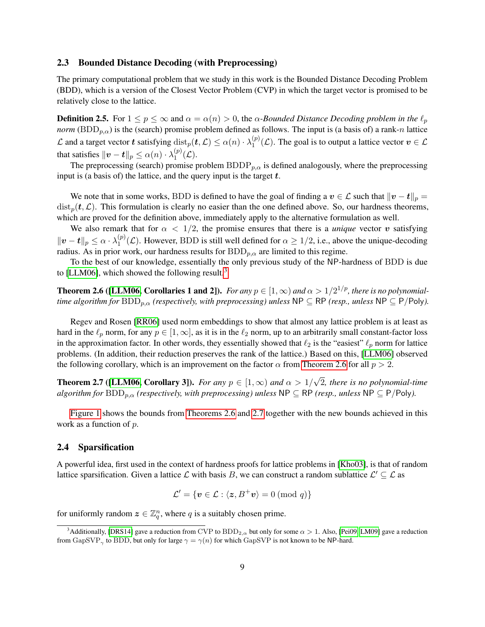#### 2.3 Bounded Distance Decoding (with Preprocessing)

The primary computational problem that we study in this work is the Bounded Distance Decoding Problem (BDD), which is a version of the Closest Vector Problem (CVP) in which the target vector is promised to be relatively close to the lattice.

<span id="page-8-3"></span>**Definition 2.5.** For  $1 \le p \le \infty$  and  $\alpha = \alpha(n) > 0$ , the  $\alpha$ -Bounded Distance Decoding problem in the  $\ell_p$ *norm* (BDD<sub>p, $\alpha$ </sub>) is the (search) promise problem defined as follows. The input is (a basis of) a rank-n lattice  $\mathcal L$  and a target vector  $\boldsymbol t$  satisfying  $\mathrm{dist}_p(\boldsymbol t, \mathcal L) \leq \alpha(n) \cdot \lambda_1^{(p)}$  $\mathcal{L}_{1}^{(p)}(\mathcal{L})$ . The goal is to output a lattice vector  $v \in \mathcal{L}$ that satisfies  $\|\bm{v}-\bm{t}\|_p \leq \alpha(n) \cdot \lambda_1^{(p)}$  $\mathcal{L}_1^{(p)}(\mathcal{L}).$ 

The preprocessing (search) promise problem  $BDDP_{p,\alpha}$  is defined analogously, where the preprocessing input is (a basis of) the lattice, and the query input is the target  $t$ .

We note that in some works, BDD is defined to have the goal of finding a  $v \in \mathcal{L}$  such that  $||v - t||_p =$  $dist_p(t, \mathcal{L})$ . This formulation is clearly no easier than the one defined above. So, our hardness theorems, which are proved for the definition above, immediately apply to the alternative formulation as well.

We also remark that for  $\alpha < 1/2$ , the promise ensures that there is a *unique* vector v satisfying  $\|\bm{v}-\bm{t}\|_p \leq \alpha \cdot \lambda_1^{(p)}$  $1^{(p)}_{1}(\mathcal{L})$ . However, BDD is still well defined for  $\alpha \geq 1/2$ , i.e., above the unique-decoding radius. As in prior work, our hardness results for  $BDD_{p,\alpha}$  are limited to this regime.

To the best of our knowledge, essentially the only previous study of the NP-hardness of BDD is due to [\[LLM06\]](#page-19-6), which showed the following result.<sup>[3](#page-8-0)</sup>

<span id="page-8-1"></span>**Theorem 2.6 ([\[LLM06,](#page-19-6) Corollaries 1 and 2]).** For any  $p \in [1,\infty)$  and  $\alpha > 1/2^{1/p}$ , there is no polynomial*time algorithm for*  $BDD_{p,\alpha}$  *(respectively, with preprocessing) unless*  $NP \subseteq RP$  *(resp., unless*  $NP \subseteq P/Poly$ *).* 

Regev and Rosen [\[RR06\]](#page-20-5) used norm embeddings to show that almost any lattice problem is at least as hard in the  $\ell_p$  norm, for any  $p \in [1,\infty]$ , as it is in the  $\ell_2$  norm, up to an arbitrarily small constant-factor loss in the approximation factor. In other words, they essentially showed that  $\ell_2$  is the "easiest"  $\ell_p$  norm for lattice problems. (In addition, their reduction preserves the rank of the lattice.) Based on this, [\[LLM06\]](#page-19-6) observed the following corollary, which is an improvement on the factor  $\alpha$  from [Theorem 2.6](#page-8-1) for all  $p > 2$ .

<span id="page-8-2"></span>**Theorem 2.7** ([\[LLM06,](#page-19-6) Corollary 3]). *For any*  $p \in [1,\infty)$  *and*  $\alpha > 1/$ √ 2*, there is no polynomial-time algorithm for*  $BDD_{p,\alpha}$  *(respectively, with preprocessing) unless*  $NP \subseteq RP$  *(resp., unless*  $NP \subseteq P/Poly$ *).* 

[Figure 1](#page-3-0) shows the bounds from [Theorems 2.6](#page-8-1) and [2.7](#page-8-2) together with the new bounds achieved in this work as a function of p.

#### 2.4 Sparsification

A powerful idea, first used in the context of hardness proofs for lattice problems in [\[Kho03\]](#page-19-2), is that of random lattice sparsification. Given a lattice  $\mathcal L$  with basis B, we can construct a random sublattice  $\mathcal L' \subseteq \mathcal L$  as

$$
\mathcal{L}' = \{ \boldsymbol{v} \in \mathcal{L} : \langle \boldsymbol{z}, B^+ \boldsymbol{v} \rangle = 0 \pmod{q} \}
$$

for uniformly random  $\boldsymbol{z} \in \mathbb{Z}_q^n$ , where q is a suitably chosen prime.

<span id="page-8-0"></span><sup>&</sup>lt;sup>3</sup>Additionally, [\[DRS14\]](#page-19-7) gave a reduction from CVP to BDD<sub>2, $\alpha$ </sub> but only for some  $\alpha > 1$ . Also, [\[Pei09,](#page-20-7) [LM09\]](#page-19-15) gave a reduction from GapSVP<sub> $_{\gamma}$ </sub> to BDD, but only for large  $\gamma = \gamma(n)$  for which GapSVP is not known to be NP-hard.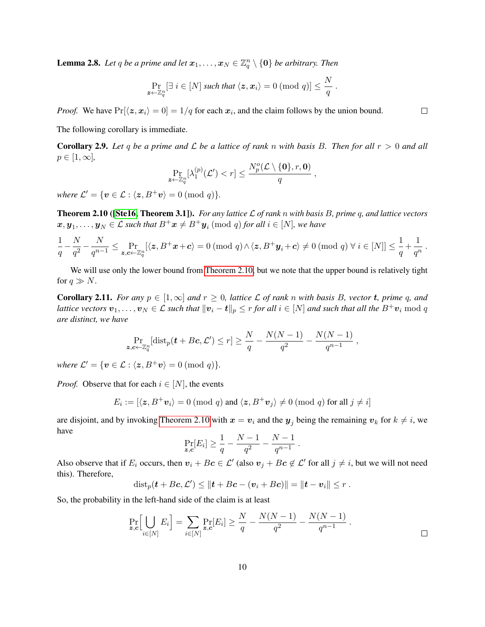**Lemma 2.8.** Let q be a prime and let  $x_1, \ldots, x_N \in \mathbb{Z}_q^n \setminus \{0\}$  be arbitrary. Then

$$
\Pr_{\boldsymbol{z} \leftarrow \mathbb{Z}_q^n} [\exists i \in [N] \text{ such that } \langle \boldsymbol{z}, \boldsymbol{x}_i \rangle = 0 \text{ (mod } q)] \leq \frac{N}{q}.
$$

*Proof.* We have  $Pr[\langle z, x_i \rangle = 0] = 1/q$  for each  $x_i$ , and the claim follows by the union bound.

<span id="page-9-1"></span>The following corollary is immediate.

**Corollary 2.9.** Let q be a prime and L be a lattice of rank n with basis B. Then for all  $r > 0$  and all  $p \in [1,\infty],$ 

$$
\Pr_{\boldsymbol{z}\leftarrow \mathbb{Z}_q^n}[\lambda_1^{(p)}(\mathcal{L}') < r] \leq \frac{N_p^o(\mathcal{L}\setminus \{\boldsymbol{0}\}, r, \boldsymbol{0})}{q} ,
$$

*where*  $\mathcal{L}' = \{ \mathbf{v} \in \mathcal{L} : \langle \mathbf{z}, B^+ \mathbf{v} \rangle = 0 \pmod{q} \}.$ 

<span id="page-9-0"></span>Theorem 2.10 ([\[Ste16,](#page-20-8) Theorem 3.1]). *For any lattice* L *of rank* n *with basis* B*, prime* q*, and lattice vectors*  $\bm{x},\bm{y}_{1},\ldots,\bm{y}_{N}\in\mathcal{L}$  such that  $B^{+}\bm{x}\neq B^{+}\bm{y}_{i} \: (\text{mod}\; q)$  for all  $i\in[N],$  we have

$$
\frac{1}{q} - \frac{N}{q^2} - \frac{N}{q^{n-1}} \le \Pr_{\boldsymbol{z}, \boldsymbol{c} \leftarrow \mathbb{Z}_q^n} [\langle \boldsymbol{z}, B^+ \boldsymbol{x} + \boldsymbol{c} \rangle = 0 \pmod{q} \wedge \langle \boldsymbol{z}, B^+ \boldsymbol{y}_i + \boldsymbol{c} \rangle \ne 0 \pmod{q} \ \forall \ i \in [N]] \le \frac{1}{q} + \frac{1}{q^n}.
$$

We will use only the lower bound from [Theorem 2.10,](#page-9-0) but we note that the upper bound is relatively tight for  $q \gg N$ .

<span id="page-9-2"></span>**Corollary 2.11.** *For any*  $p \in [1,\infty]$  *and*  $r \geq 0$ *, lattice*  $\mathcal L$  *of rank* n *with basis*  $B$ *, vector* **t**, prime q, and *lattice vectors*  $v_1, \ldots, v_N \in \mathcal{L}$  *such that*  $\|v_i - t\|_p \le r$  *for all*  $i \in [N]$  *and such that all the*  $B^+v_i$  mod q *are distinct, we have*

$$
\Pr_{\boldsymbol{z},\boldsymbol{c}\leftarrow \mathbb{Z}_q^n}[\mathrm{dist}_p(\boldsymbol{t} + B\boldsymbol{c}, \mathcal{L}') \leq r] \geq \frac{N}{q} - \frac{N(N-1)}{q^2} - \frac{N(N-1)}{q^{n-1}}\,,
$$

*where*  $\mathcal{L}' = \{ \mathbf{v} \in \mathcal{L} : \langle \mathbf{z}, B^+ \mathbf{v} \rangle = 0 \pmod{q} \}.$ 

*Proof.* Observe that for each  $i \in [N]$ , the events

$$
E_i := [\langle \mathbf{z}, B^+ \mathbf{v}_i \rangle = 0 \pmod{q} \text{ and } \langle \mathbf{z}, B^+ \mathbf{v}_j \rangle \neq 0 \pmod{q} \text{ for all } j \neq i]
$$

are disjoint, and by invoking [Theorem 2.10](#page-9-0) with  $x = v_i$  and the  $y_j$  being the remaining  $v_k$  for  $k \neq i$ , we have

$$
\Pr_{\mathbf{z},\mathbf{c}}[E_i] \ge \frac{1}{q} - \frac{N-1}{q^2} - \frac{N-1}{q^{n-1}}
$$

Also observe that if  $E_i$  occurs, then  $v_i + Bc \in \mathcal{L}'$  (also  $v_j + Bc \notin \mathcal{L}'$  for all  $j \neq i$ , but we will not need this). Therefore,

$$
\text{dist}_p(\boldsymbol{t}+B\boldsymbol{c},\mathcal{L}')\leq \|\boldsymbol{t}+B\boldsymbol{c}-(\boldsymbol{v}_i+B\boldsymbol{c})\|=\|\boldsymbol{t}-\boldsymbol{v}_i\|\leq r.
$$

So, the probability in the left-hand side of the claim is at least

$$
\Pr_{\bm{z},\bm{c}}\Big[\bigcup_{i\in[N]}E_i\Big] = \sum_{i\in[N]}\Pr_{\bm{z},\bm{c}}[E_i] \ge \frac{N}{q} - \frac{N(N-1)}{q^2} - \frac{N(N-1)}{q^{n-1}}.
$$

.

 $\Box$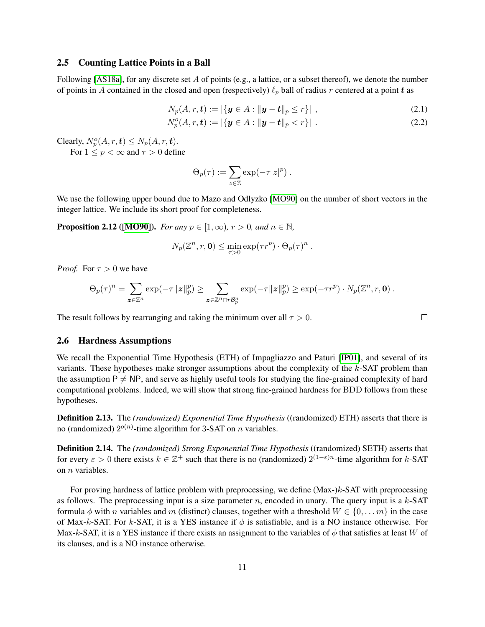#### 2.5 Counting Lattice Points in a Ball

Following [\[AS18a\]](#page-19-11), for any discrete set A of points (e.g., a lattice, or a subset thereof), we denote the number of points in A contained in the closed and open (respectively)  $\ell_p$  ball of radius r centered at a point t as

$$
N_p(A, r, t) := |\{ y \in A : ||y - t||_p \le r \}|,
$$
\n(2.1)

$$
N_p^o(A, r, t) := |\{ y \in A : ||y - t||_p < r \}|.
$$
 (2.2)

Clearly,  $N_p^o(A, r, t) \le N_p(A, r, t)$ .

For  $1 \le p < \infty$  and  $\tau > 0$  define

$$
\Theta_p(\tau) := \sum_{z \in \mathbb{Z}} \exp(-\tau |z|^p) .
$$

We use the following upper bound due to Mazo and Odlyzko [\[MO90\]](#page-20-6) on the number of short vectors in the integer lattice. We include its short proof for completeness.

<span id="page-10-0"></span>**Proposition 2.12 ([\[MO90\]](#page-20-6)).** *For any*  $p \in [1, \infty)$ ,  $r > 0$ *, and*  $n \in \mathbb{N}$ *,* 

$$
N_p(\mathbb{Z}^n, r, \mathbf{0}) \le \min_{\tau > 0} \exp(\tau r^p) \cdot \Theta_p(\tau)^n \; .
$$

*Proof.* For  $\tau > 0$  we have

$$
\Theta_p(\tau)^n = \sum_{\boldsymbol{z}\in\mathbb{Z}^n} \exp(-\tau \|\boldsymbol{z}\|_p^p) \geq \sum_{\boldsymbol{z}\in\mathbb{Z}^n\cap r\mathcal{B}_p^n} \exp(-\tau \|\boldsymbol{z}\|_p^p) \geq \exp(-\tau r^p) \cdot N_p(\mathbb{Z}^n, r, \boldsymbol{0}) .
$$

The result follows by rearranging and taking the minimum over all  $\tau > 0$ .

#### 2.6 Hardness Assumptions

We recall the Exponential Time Hypothesis (ETH) of Impagliazzo and Paturi [\[IP01\]](#page-19-9), and several of its variants. These hypotheses make stronger assumptions about the complexity of the  $k$ -SAT problem than the assumption  $P \neq NP$ , and serve as highly useful tools for studying the fine-grained complexity of hard computational problems. Indeed, we will show that strong fine-grained hardness for BDD follows from these hypotheses.

Definition 2.13. The *(randomized) Exponential Time Hypothesis* ((randomized) ETH) asserts that there is no (randomized)  $2^{o(n)}$ -time algorithm for 3-SAT on *n* variables.

Definition 2.14. The *(randomized) Strong Exponential Time Hypothesis* ((randomized) SETH) asserts that for every  $\varepsilon > 0$  there exists  $k \in \mathbb{Z}^+$  such that there is no (randomized)  $2^{(1-\varepsilon)n}$ -time algorithm for k-SAT on *n* variables.

For proving hardness of lattice problem with preprocessing, we define (Max-)k-SAT with preprocessing as follows. The preprocessing input is a size parameter  $n$ , encoded in unary. The query input is a  $k$ -SAT formula  $\phi$  with n variables and m (distinct) clauses, together with a threshold  $W \in \{0, \ldots m\}$  in the case of Max-k-SAT. For k-SAT, it is a YES instance if  $\phi$  is satisfiable, and is a NO instance otherwise. For Max-k-SAT, it is a YES instance if there exists an assignment to the variables of  $\phi$  that satisfies at least W of its clauses, and is a NO instance otherwise.

 $\Box$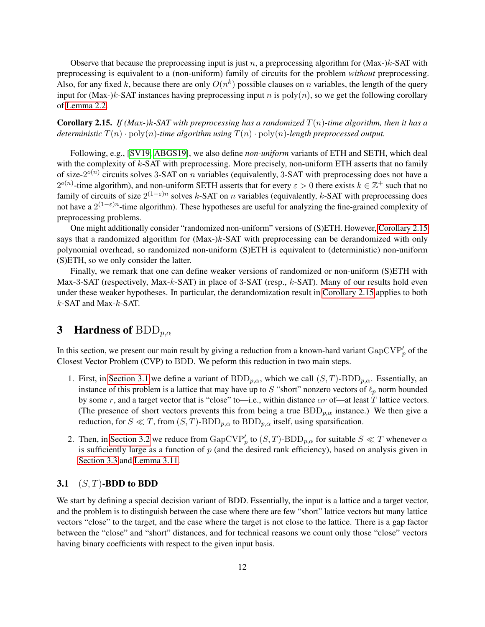Observe that because the preprocessing input is just n, a preprocessing algorithm for  $(Max-)k-SAT$  with preprocessing is equivalent to a (non-uniform) family of circuits for the problem *without* preprocessing. Also, for any fixed k, because there are only  $O(n^k)$  possible clauses on n variables, the length of the query input for (Max-)k-SAT instances having preprocessing input n is  $poly(n)$ , so we get the following corollary of [Lemma 2.2.](#page-6-1)

<span id="page-11-0"></span>Corollary 2.15. *If (Max-)*k*-SAT with preprocessing has a randomized* T(n)*-time algorithm, then it has a deterministic*  $T(n) \cdot \text{poly}(n)$ -time algorithm using  $T(n) \cdot \text{poly}(n)$ -length preprocessed output.

Following, e.g., [\[SV19,](#page-20-9) [ABGS19\]](#page-18-1), we also define *non-uniform* variants of ETH and SETH, which deal with the complexity of  $k$ -SAT with preprocessing. More precisely, non-uniform ETH asserts that no family of size- $2^{o(n)}$  circuits solves 3-SAT on *n* variables (equivalently, 3-SAT with preprocessing does not have a  $2^{o(n)}$ -time algorithm), and non-uniform SETH asserts that for every  $\varepsilon > 0$  there exists  $k \in \mathbb{Z}^+$  such that no family of circuits of size  $2^{(1-\varepsilon)n}$  solves k-SAT on n variables (equivalently, k-SAT with preprocessing does not have a  $2^{(1-\varepsilon)n}$ -time algorithm). These hypotheses are useful for analyzing the fine-grained complexity of preprocessing problems.

One might additionally consider "randomized non-uniform" versions of (S)ETH. However, [Corollary 2.15](#page-11-0) says that a randomized algorithm for (Max-)k-SAT with preprocessing can be derandomized with only polynomial overhead, so randomized non-uniform (S)ETH is equivalent to (deterministic) non-uniform (S)ETH, so we only consider the latter.

Finally, we remark that one can define weaker versions of randomized or non-uniform (S)ETH with Max-3-SAT (respectively, Max-k-SAT) in place of 3-SAT (resp.,  $k$ -SAT). Many of our results hold even under these weaker hypotheses. In particular, the derandomization result in [Corollary 2.15](#page-11-0) applies to both k-SAT and Max-k-SAT.

## 3 Hardness of  $\text{BDD}_{p,\alpha}$

In this section, we present our main result by giving a reduction from a known-hard variant  $\text{GapCVP}_p'$  of the Closest Vector Problem (CVP) to BDD. We peform this reduction in two main steps.

- 1. First, in [Section 3.1](#page-11-1) we define a variant of  $BDD_{p,\alpha}$ , which we call  $(S,T)$ -BDD<sub>p, $\alpha$ </sub>. Essentially, an instance of this problem is a lattice that may have up to S "short" nonzero vectors of  $\ell_p$  norm bounded by some r, and a target vector that is "close" to—i.e., within distance  $\alpha r$  of—at least T lattice vectors. (The presence of short vectors prevents this from being a true  $BDD_{p,\alpha}$  instance.) We then give a reduction, for  $S \ll T$ , from  $(S, T)$ -BDD<sub> $p, \alpha$ </sub> to BDD<sub> $p, \alpha$ </sub> itself, using sparsification.
- 2. Then, in [Section 3.2](#page-13-1) we reduce from  $\text{GapCVP}'_p$  to  $(S, T)\text{-BDD}_{p,\alpha}$  for suitable  $S \ll T$  whenever  $\alpha$ is sufficiently large as a function of  $p$  (and the desired rank efficiency), based on analysis given in [Section 3.3](#page-15-2) and [Lemma 3.11.](#page-17-0)

### <span id="page-11-1"></span>3.1  $(S, T)$ -BDD to BDD

We start by defining a special decision variant of BDD. Essentially, the input is a lattice and a target vector, and the problem is to distinguish between the case where there are few "short" lattice vectors but many lattice vectors "close" to the target, and the case where the target is not close to the lattice. There is a gap factor between the "close" and "short" distances, and for technical reasons we count only those "close" vectors having binary coefficients with respect to the given input basis.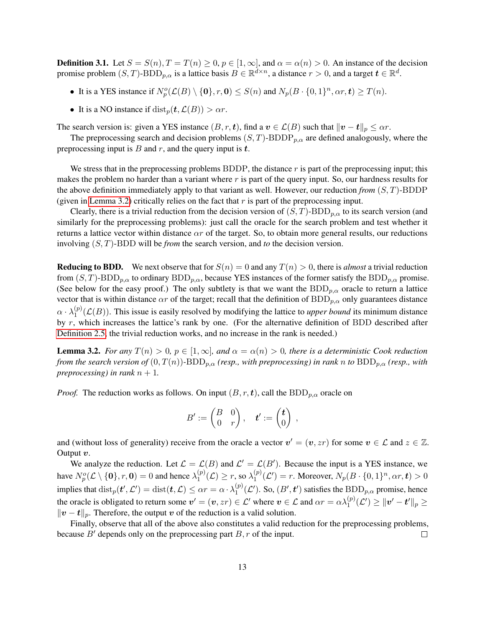**Definition 3.1.** Let  $S = S(n)$ ,  $T = T(n) \ge 0$ ,  $p \in [1, \infty]$ , and  $\alpha = \alpha(n) > 0$ . An instance of the decision promise problem  $(S, T)$ -BDD $_{p,\alpha}$  is a lattice basis  $B \in \mathbb{R}^{\bar{d} \times n}$ , a distance  $r > 0$ , and a target  $t \in \mathbb{R}^d$ .

- It is a YES instance if  $N_p^o(\mathcal{L}(B) \setminus \{0\}, r, 0) \leq S(n)$  and  $N_p(B \cdot \{0, 1\}^n, \alpha r, t) \geq T(n)$ .
- It is a NO instance if  $dist_p(t, \mathcal{L}(B)) > \alpha r$ .

The search version is: given a YES instance  $(B, r, t)$ , find a  $v \in \mathcal{L}(B)$  such that  $||v - t||_p \leq \alpha r$ .

The preprocessing search and decision problems  $(S, T)$ -BDDP<sub>p, $\alpha$ </sub> are defined analogously, where the preprocessing input is  $B$  and  $r$ , and the query input is  $t$ .

We stress that in the preprocessing problems BDDP, the distance  $r$  is part of the preprocessing input; this makes the problem no harder than a variant where r is part of the query input. So, our hardness results for the above definition immediately apply to that variant as well. However, our reduction *from* (S, T)-BDDP (given in [Lemma 3.2\)](#page-12-0) critically relies on the fact that  $r$  is part of the preprocessing input.

Clearly, there is a trivial reduction from the decision version of  $(S, T)$ -BDD<sub>p, $\alpha$ </sub> to its search version (and similarly for the preprocessing problems): just call the oracle for the search problem and test whether it returns a lattice vector within distance  $\alpha r$  of the target. So, to obtain more general results, our reductions involving (S, T)-BDD will be *from* the search version, and *to* the decision version.

**Reducing to BDD.** We next observe that for  $S(n) = 0$  and any  $T(n) > 0$ , there is *almost* a trivial reduction from  $(S, T)$ -BDD<sub>p, $\alpha$ </sub> to ordinary BDD<sub>p, $\alpha$ </sub>, because YES instances of the former satisfy the BDD<sub>p, $\alpha$ </sub> promise. (See below for the easy proof.) The only subtlety is that we want the  $BDD_{p,\alpha}$  oracle to return a lattice vector that is within distance  $\alpha r$  of the target; recall that the definition of  $BDD_{p,\alpha}$  only guarantees distance  $\alpha\cdot\lambda_1^{(p)}$  $1^{(p)}(\mathcal{L}(B))$ . This issue is easily resolved by modifying the lattice to *upper bound* its minimum distance by r, which increases the lattice's rank by one. (For the alternative definition of BDD described after [Definition 2.5,](#page-8-3) the trivial reduction works, and no increase in the rank is needed.)

<span id="page-12-0"></span>**Lemma 3.2.** *For any*  $T(n) > 0$ ,  $p \in [1,\infty]$ , and  $\alpha = \alpha(n) > 0$ , there is a deterministic Cook reduction *from the search version of*  $(0, T(n))$ -BDD<sub>p, $\alpha$ </sub> *(resp., with preprocessing) in rank n to* BDD<sub>p, $\alpha$ </sub> *(resp., with preprocessing) in rank*  $n + 1$ .

*Proof.* The reduction works as follows. On input  $(B, r, t)$ , call the BDD<sub>p, $\alpha$ </sub> oracle on

$$
B':=\begin{pmatrix} B&0\\0&r \end{pmatrix},\quad \boldsymbol{t}':=\begin{pmatrix}\boldsymbol{t}\\0 \end{pmatrix}\;,
$$

and (without loss of generality) receive from the oracle a vector  $v' = (v, zr)$  for some  $v \in \mathcal{L}$  and  $z \in \mathbb{Z}$ . Output  $v$ .

We analyze the reduction. Let  $\mathcal{L} = \mathcal{L}(B)$  and  $\mathcal{L}' = \mathcal{L}(B')$ . Because the input is a YES instance, we have  $N_p^o(\mathcal{L} \setminus \{\mathbf{0}\}, r, \mathbf{0}) = 0$  and hence  $\lambda_1^{(p)}$  $\mathcal{L}_1^{(p)}(\mathcal{L}) \geq r$ , so  $\lambda_1^{(p)}$  $I_1^{(p)}(\mathcal{L}') = r$ . Moreover,  $N_p(B \cdot \{0,1\}^n, \alpha r, t) > 0$ implies that  $\operatorname{dist}_p(\boldsymbol{t}', \mathcal{L}') = \operatorname{dist}(\boldsymbol{t}, \mathcal{L}) \leq \alpha r = \alpha \cdot \lambda_1^{(p)}$  $\mathcal{L}_{1}^{(p)}(\mathcal{L}^{\prime})$ . So,  $(B^{\prime}, t^{\prime})$  satisfies the  $\text{BDD}_{p,\alpha}$  promise, hence the oracle is obligated to return some  $v' = (v, zr) \in \mathcal{L}'$  where  $v \in \mathcal{L}$  and  $\alpha r = \alpha \lambda_1^{(p)}(\mathcal{L}') \geq ||v' - t'||_p \geq$  $||v - t||_p$ . Therefore, the output v of the reduction is a valid solution.

Finally, observe that all of the above also constitutes a valid reduction for the preprocessing problems, because  $B'$  depends only on the preprocessing part  $B, r$  of the input.  $\Box$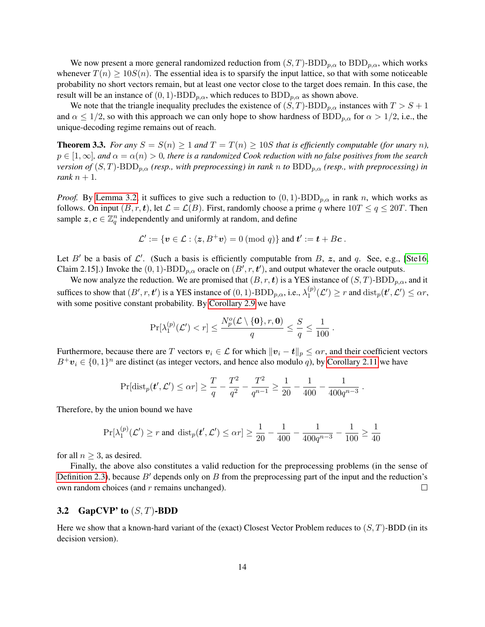We now present a more general randomized reduction from  $(S, T)$ -BDD<sub>p, $\alpha$ </sub> to BDD<sub>p, $\alpha$ </sub>, which works whenever  $T(n) \ge 10S(n)$ . The essential idea is to sparsify the input lattice, so that with some noticeable probability no short vectors remain, but at least one vector close to the target does remain. In this case, the result will be an instance of  $(0, 1)$ -BDD<sub>p, $\alpha$ </sub>, which reduces to BDD<sub>p, $\alpha$ </sub> as shown above.

We note that the triangle inequality precludes the existence of  $(S, T)$ -BDD<sub>p, $\alpha$ </sub> instances with  $T > S + 1$ and  $\alpha \leq 1/2$ , so with this approach we can only hope to show hardness of BDD<sub>p, $\alpha$ </sub> for  $\alpha > 1/2$ , i.e., the unique-decoding regime remains out of reach.

<span id="page-13-0"></span>**Theorem 3.3.** For any  $S = S(n) \ge 1$  and  $T = T(n) \ge 10S$  that is efficiently computable (for unary n),  $p \in [1,\infty]$ , and  $\alpha = \alpha(n) > 0$ , there is a randomized Cook reduction with no false positives from the search *version of*  $(S, T)$ -BDD<sub>p, $\alpha$ </sub> *(resp., with preprocessing) in rank n to* BDD<sub>p, $\alpha$ </sub> *(resp., with preprocessing) in rank*  $n + 1$ .

*Proof.* By [Lemma 3.2,](#page-12-0) it suffices to give such a reduction to  $(0, 1)$ -BDD<sub>p, $\alpha$ </sub> in rank n, which works as follows. On input  $(B, r, t)$ , let  $\mathcal{L} = \mathcal{L}(B)$ . First, randomly choose a prime q where  $10T \le q \le 20T$ . Then sample  $z, c \in \mathbb{Z}_q^n$  independently and uniformly at random, and define

$$
\mathcal{L}' := \{ \boldsymbol{v} \in \mathcal{L} : \langle \boldsymbol{z}, B^+ \boldsymbol{v} \rangle = 0 \pmod{q} \} \text{ and } \boldsymbol{t}' := \boldsymbol{t} + B \boldsymbol{c} .
$$

Let B' be a basis of  $\mathcal{L}'$ . (Such a basis is efficiently computable from B, z, and q. See, e.g., [\[Ste16,](#page-20-8) Claim 2.15].) Invoke the  $(0, 1)$ -BDD<sub>p, $\alpha$ </sub> oracle on  $(B', r, t')$ , and output whatever the oracle outputs.

We now analyze the reduction. We are promised that  $(B, r, t)$  is a YES instance of  $(S, T)$ -BDD<sub>p, $\alpha$ </sub>, and it suffices to show that  $(B', r, t')$  is a YES instance of  $(0, 1)$ -BDD<sub>p, $\alpha$ </sub>, i.e.,  $\lambda_1^{(p)}$  $\mathcal{L}^{(p)}(L') \geq r$  and  $\mathrm{dist}_p(\boldsymbol{t}', \boldsymbol{\mathcal{L}}') \leq \alpha r$ , with some positive constant probability. By [Corollary 2.9](#page-9-1) we have

$$
\Pr[\lambda_1^{(p)}(\mathcal{L}') < r] \le \frac{N_p^o(\mathcal{L} \setminus \{\mathbf{0}\}, r, \mathbf{0})}{q} \le \frac{S}{q} \le \frac{1}{100} \, .
$$

Furthermore, because there are T vectors  $v_i \in \mathcal{L}$  for which  $||v_i - t||_p \leq \alpha r$ , and their coefficient vectors  $B^+v_i \in \{0,1\}^n$  are distinct (as integer vectors, and hence also modulo q), by [Corollary 2.11](#page-9-2) we have

$$
\Pr[\text{dist}_p(\mathbf{t}', \mathcal{L}') \le \alpha r] \ge \frac{T}{q} - \frac{T^2}{q^2} - \frac{T^2}{q^{n-1}} \ge \frac{1}{20} - \frac{1}{400} - \frac{1}{400q^{n-3}}.
$$

Therefore, by the union bound we have

$$
\Pr[\lambda_1^{(p)}(\mathcal{L}') \ge r \text{ and } \mathrm{dist}_p(t', \mathcal{L}') \le \alpha r] \ge \frac{1}{20} - \frac{1}{400} - \frac{1}{400q^{n-3}} - \frac{1}{100} \ge \frac{1}{40}
$$

for all  $n \geq 3$ , as desired.

Finally, the above also constitutes a valid reduction for the preprocessing problems (in the sense of [Definition 2.3\)](#page-6-2), because  $B'$  depends only on B from the preprocessing part of the input and the reduction's own random choices (and r remains unchanged).  $\Box$ 

### <span id="page-13-1"></span>3.2 GapCVP' to  $(S, T)$ -BDD

Here we show that a known-hard variant of the (exact) Closest Vector Problem reduces to  $(S, T)$ -BDD (in its decision version).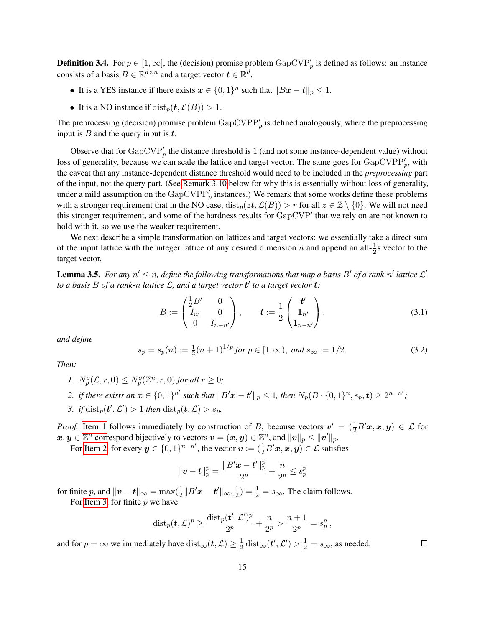**Definition 3.4.** For  $p \in [1, \infty]$ , the (decision) promise problem GapCVP'<sub>p</sub> is defined as follows: an instance consists of a basis  $B \in \mathbb{R}^{d \times n}$  and a target vector  $t \in \mathbb{R}^d$ .

- It is a YES instance if there exists  $x \in \{0,1\}^n$  such that  $||Bx t||_p \leq 1$ .
- It is a NO instance if  $dist_p(t, \mathcal{L}(B)) > 1$ .

The preprocessing (decision) promise problem  $\text{GapCVPP}'_p$  is defined analogously, where the preprocessing input is  $B$  and the query input is  $t$ .

Observe that for  $\text{GapCVP}'_p$  the distance threshold is 1 (and not some instance-dependent value) without loss of generality, because we can scale the lattice and target vector. The same goes for  $GapCVPP'_p$ , with the caveat that any instance-dependent distance threshold would need to be included in the *preprocessing* part of the input, not the query part. (See [Remark 3.10](#page-16-0) below for why this is essentially without loss of generality, under a mild assumption on the  $\text{GapCVPP}'_p$  instances.) We remark that some works define these problems with a stronger requirement that in the NO case,  $dist_p(zt, \mathcal{L}(B)) > r$  for all  $z \in \mathbb{Z} \setminus \{0\}$ . We will not need this stronger requirement, and some of the hardness results for GapCVP' that we rely on are not known to hold with it, so we use the weaker requirement.

We next describe a simple transformation on lattices and target vectors: we essentially take a direct sum of the input lattice with the integer lattice of any desired dimension n and append an all- $\frac{1}{2}$ s vector to the target vector.

<span id="page-14-0"></span>**Lemma 3.5.** For any  $n' \leq n$ , define the following transformations that map a basis B' of a rank-n' lattice  $\mathcal{L}'$ *to a basis* B *of a rank-*n *lattice* L*, and a target vector* t 0 *to a target vector* t*:*

<span id="page-14-5"></span>
$$
B := \begin{pmatrix} \frac{1}{2}B' & 0 \\ I_{n'} & 0 \\ 0 & I_{n-n'} \end{pmatrix}, \qquad t := \frac{1}{2} \begin{pmatrix} t' \\ \mathbf{1}_{n'} \\ \mathbf{1}_{n-n'} \end{pmatrix}, \tag{3.1}
$$

,

 $\Box$ 

*and define*

<span id="page-14-4"></span>
$$
s_p = s_p(n) := \frac{1}{2}(n+1)^{1/p} \text{ for } p \in [1,\infty), \text{ and } s_\infty := 1/2. \tag{3.2}
$$

<span id="page-14-1"></span>*Then:*

$$
I. N_p^o(\mathcal{L}, r, \mathbf{0}) \le N_p^o(\mathbb{Z}^n, r, \mathbf{0}) \text{ for all } r \ge 0;
$$

<span id="page-14-2"></span>2. if there exists an 
$$
\mathbf{x} \in \{0,1\}^{n'}
$$
 such that  $||B'\mathbf{x} - t'||_p \leq 1$ , then  $N_p(B \cdot \{0,1\}^n, s_p, t) \geq 2^{n-n'}$ ;

<span id="page-14-3"></span>3. *if*  $dist_p(t', \mathcal{L}') > 1$  *then*  $dist_p(t, \mathcal{L}) > s_p$ .

*Proof.* [Item 1](#page-14-1) follows immediately by construction of B, because vectors  $v' = (\frac{1}{2}B'x, x, y) \in \mathcal{L}$  for  $\bm{x}, \bm{y} \in \mathbb{Z}^n$  correspond bijectively to vectors  $\bm{v} = (\bm{x}, \bm{y}) \in \mathbb{Z}^n$ , and  $\|\bm{v}\|_p \le \|\bm{v}'\|_p$ .

For [Item 2,](#page-14-2) for every  $y \in \{0,1\}^{n-n'}$ , the vector  $v := (\frac{1}{2}B'x, x, y) \in \mathcal{L}$  satisfies

$$
\|\boldsymbol{v}-\boldsymbol{t}\|_p^p=\frac{\|B'\boldsymbol{x}-\boldsymbol{t}'\|_p^p}{2^p}+\frac{n}{2^p}\leq s_p^p
$$

for finite p, and  $\|\bm{v}-\bm{t}\|_{\infty} = \max(\frac{1}{2}\|B'\bm{x} - \bm{t}'\|_{\infty}, \frac{1}{2})$  $(\frac{1}{2}) = \frac{1}{2} = s_{\infty}$ . The claim follows.

For [Item 3,](#page-14-3) for finite  $p$  we have

$$
\text{dist}_p(\boldsymbol{t}, \mathcal{L})^p \geq \frac{\text{dist}_p(\boldsymbol{t}', \mathcal{L}')^p}{2^p} + \frac{n}{2^p} > \frac{n+1}{2^p} = s_p^p
$$

15

<span id="page-14-6"></span>and for  $p = \infty$  we immediately have  $dist_{\infty}(\mathbf{t}, \mathcal{L}) \geq \frac{1}{2}$  $\frac{1}{2}$  dist ${}_{\infty}$ (**t'**, **L'**) >  $\frac{1}{2}$  =  $s_{\infty}$ , as needed.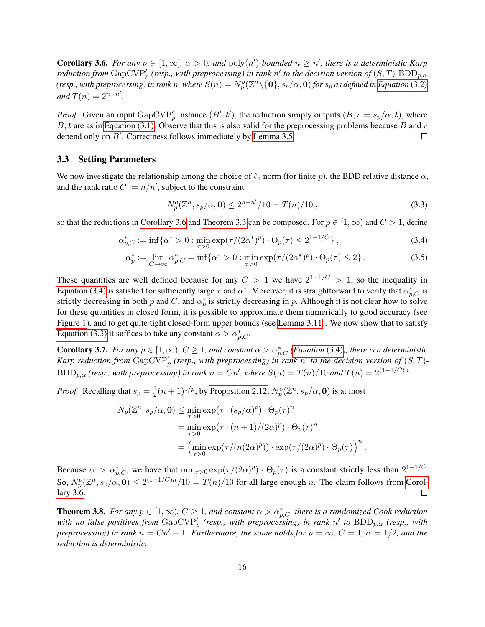**Corollary 3.6.** For any  $p \in [1, \infty]$ ,  $\alpha > 0$ , and  $\text{poly}(n')$ -bounded  $n \geq n'$ , there is a deterministic Karp  $r$ eduction from  $\mathrm{GapCVP}'_p$  (resp., with preprocessing) in rank  $n'$  to the decision version of  $(S,T)$ - $\mathrm{BDD}_{p,\alpha}$ (resp., with preprocessing) in rank  $n$ , where  $S(n)=N_p^o(\Z^n\setminus\{\bf 0\}, s_p/\alpha, \bf 0)$  for  $s_p$  as defined in [Equation](#page-14-4) (3.2), *and*  $T(n) = 2^{n-n'}$ .

*Proof.* Given an input  $\text{GapCVP}_p'$  instance  $(B', t')$ , the reduction simply outputs  $(B, r = s_p/\alpha, t)$ , where  $B, t$  are as in [Equation \(3.1\).](#page-14-5) Observe that this is also valid for the preprocessing problems because  $B$  and  $r$ depend only on  $B'$ . Correctness follows immediately by [Lemma 3.5.](#page-14-0)  $\Box$ 

#### <span id="page-15-2"></span>3.3 Setting Parameters

We now investigate the relationship among the choice of  $\ell_p$  norm (for finite p), the BDD relative distance  $\alpha$ , and the rank ratio  $C := n/n'$ , subject to the constraint

<span id="page-15-3"></span><span id="page-15-1"></span><span id="page-15-0"></span>
$$
N_p^o(\mathbb{Z}^n, s_p/\alpha, \mathbf{0}) \le 2^{n-n'}/10 = T(n)/10 ,\qquad (3.3)
$$

so that the reductions in [Corollary 3.6](#page-14-6) and [Theorem 3.3](#page-13-0) can be composed. For  $p \in [1,\infty)$  and  $C > 1$ , define

$$
\alpha_{p,C}^* := \inf \{ \alpha^* > 0 : \min_{\tau > 0} \exp(\tau/(2\alpha^*)^p) \cdot \Theta_p(\tau) \le 2^{1-1/C} \},\tag{3.4}
$$

$$
\alpha_p^* := \lim_{C \to \infty} \alpha_{p,C}^* = \inf \{ \alpha^* > 0 : \min_{\tau > 0} \exp(\tau/(2\alpha^*)^p) \cdot \Theta_p(\tau) \le 2 \}.
$$
 (3.5)

These quantities are well defined because for any  $C > 1$  we have  $2^{1-1/C} > 1$ , so the inequality in [Equation \(3.4\)](#page-15-0) is satisfied for sufficiently large  $\tau$  and  $\alpha^*$ . Moreover, it is straightforward to verify that  $\alpha_{p,C}^*$  is strictly decreasing in both p and C, and  $\alpha_p^*$  is strictly decreasing in p. Although it is not clear how to solve for these quantities in closed form, it is possible to approximate them numerically to good accuracy (see [Figure 1\)](#page-3-0), and to get quite tight closed-form upper bounds (see [Lemma 3.11\)](#page-17-0). We now show that to satisfy [Equation \(3.3\)](#page-15-3) it suffices to take any constant  $\alpha > \alpha_{p,C}^*$ .

<span id="page-15-4"></span>**Corollary 3.7.** *For any*  $p \in [1,\infty)$ ,  $C \ge 1$ , and constant  $\alpha > \alpha_{p,C}^*$  [\(Equation](#page-15-0) (3.4)), there is a deterministic *Karp reduction from* GapCVP'<sub>p</sub> (resp., with preprocessing) in rank n' to the decision version of  $(S,T)$ - $BDD_{p,\alpha}$  (resp., with preprocessing) in rank  $n = Cn'$ , where  $S(n) = T(n)/10$  and  $T(n) = 2^{(1-1/C)n}$ .

*Proof.* Recalling that  $s_p = \frac{1}{2}$  $\frac{1}{2}(n+1)^{1/p}$ , by [Proposition 2.12,](#page-10-0)  $N_p^o(\mathbb{Z}^n, s_p/\alpha, \mathbf{0})$  is at most

$$
N_p(\mathbb{Z}^n, s_p/\alpha, \mathbf{0}) \le \min_{\tau > 0} \exp(\tau \cdot (s_p/\alpha)^p) \cdot \Theta_p(\tau)^n
$$
\n
$$
= \min_{\tau > 0} \exp(\tau \cdot (n+1)/(2\alpha)^p) \cdot \Theta_p(\tau)^n
$$
\n
$$
= \left(\min_{\tau > 0} \exp(\tau/(n(2\alpha)^p)) \cdot \exp(\tau/(2\alpha)^p) \cdot \Theta_p(\tau)\right)^n.
$$

Because  $\alpha > \alpha_{p,C}^*$ , we have that  $\min_{\tau>0} \exp(\tau/(2\alpha)^p) \cdot \Theta_p(\tau)$  is a constant strictly less than  $2^{1-1/C}$ . So,  $N_p^o(\mathbb{Z}^n, s_p/\alpha, \mathbf{0}) \leq 2^{(1-1/C)n}/10 = T(n)/10$  for all large enough n. The claim follows from [Corol](#page-14-6)[lary 3.6.](#page-14-6)  $\Box$ 

<span id="page-15-5"></span>**Theorem 3.8.** *For any*  $p \in [1, \infty)$ ,  $C \ge 1$ , and constant  $\alpha > \alpha_{p,C}^*$ , there is a randomized Cook reduction with no false positives from  $\text{GapCVP}'_p$  (resp., with preprocessing) in rank n' to  $\text{BDD}_{p,\alpha}$  (resp., with *preprocessing) in rank*  $n = Cn' + 1$ *. Furthermore, the same holds for*  $p = \infty$ *,*  $C = 1$ *,*  $\alpha = 1/2$ *, and the reduction is deterministic.*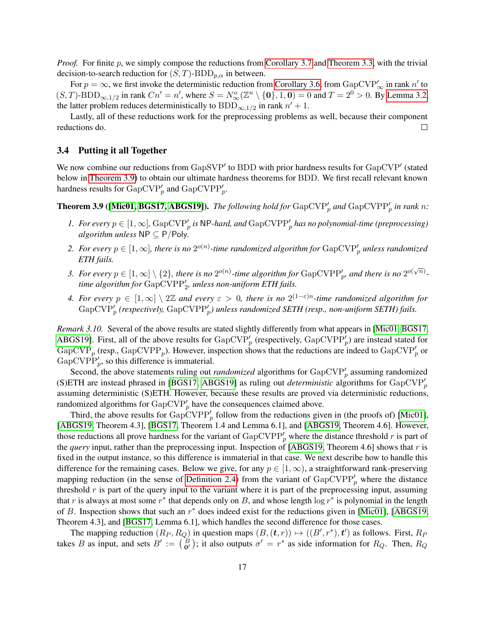*Proof.* For finite p, we simply compose the reductions from [Corollary 3.7](#page-15-4) and [Theorem 3.3,](#page-13-0) with the trivial decision-to-search reduction for  $(S, T)$ -BDD<sub>p, $\alpha$ </sub> in between.

For  $p = \infty$ , we first invoke the deterministic reduction from [Corollary 3.6,](#page-14-6) from GapCVP'<sub> $\infty$ </sub> in rank n' to  $(S, T)$ -BDD<sub>∞,1/2</sub> in rank  $Cn' = n'$ , where  $S = N_{\infty}^o(\mathbb{Z}^n \setminus \{0\}, 1, 0) = 0$  and  $T = 2^0 > 0$ . By [Lemma 3.2,](#page-12-0) the latter problem reduces deterministically to  $BDD_{\infty,1/2}$  in rank  $n'+1$ .

Lastly, all of these reductions work for the preprocessing problems as well, because their component reductions do.  $\Box$ 

#### 3.4 Putting it all Together

We now combine our reductions from GapSVP' to BDD with prior hardness results for GapCVP' (stated below in [Theorem 3.9\)](#page-16-1) to obtain our ultimate hardness theorems for BDD. We first recall relevant known hardness results for  $\mathrm{GapCVP}'_p$  and  $\mathrm{GapCVPP}'_p$ .

<span id="page-16-1"></span>**Theorem 3.9 ([\[Mic01,](#page-20-1) [BGS17,](#page-19-10) [ABGS19\]](#page-18-1)).** *The following hold for*  $\text{GapCVP}'_p$  and  $\text{GapCVPP}'_p$  in rank n:

- *1.* For every  $p \in [1, \infty]$ ,  $\text{GapCVP}'_p$  is NP-hard, and  $\text{GapCVPP}'_p$  has no polynomial-time (preprocessing) *algorithm unless*  $NP \subseteq P/Poly$ .
- 2. For every  $p \in [1,\infty]$ , there is no  $2^{o(n)}$ -time randomized algorithm for  $\mathrm{GapCVP}'_p$  unless randomized *ETH fails.*
- 3. For every  $p \in [1,\infty] \setminus \{2\}$ , there is no  $2^{o(n)}$ -time algorithm for  $\mathrm{GapCVPP}'_p$ , and there is no  $2^{o(\sqrt{n})}$ *time algorithm for GapCVPP'*<sub>2</sub>, unless non-uniform ETH fails.
- 4. For every  $p \in [1,\infty] \setminus 2\mathbb{Z}$  and every  $\varepsilon > 0$ , there is no  $2^{(1-\varepsilon)n}$ -time randomized algorithm for  $GapCVP'_p$  (respectively,  $GapCVPP'_p$ ) unless randomized SETH (resp., non-uniform SETH) fails.

<span id="page-16-0"></span>*Remark 3.10.* Several of the above results are stated slightly differently from what appears in [\[Mic01,](#page-20-1) [BGS17,](#page-19-10) [ABGS19\]](#page-18-1). First, all of the above results for  $\text{GapCVP}'_p$  (respectively,  $\text{GapCVPP}'_p$ ) are instead stated for GapCVP<sub>p</sub> (resp., GapCVPP<sub>p</sub>). However, inspection shows that the reductions are indeed to GapCVP<sub>p</sub><sup>t</sup> or  $GapCVPP'_{p}$ , so this difference is immaterial.

Second, the above statements ruling out *randomized* algorithms for  $\text{GapCVP}'_p$  assuming randomized (S)ETH are instead phrased in [\[BGS17,](#page-19-10) [ABGS19\]](#page-18-1) as ruling out *deterministic* algorithms for  $\text{GapCVP}_p'$ assuming deterministic (S)ETH. However, because these results are proved via deterministic reductions, randomized algorithms for  $\text{GapCVP}_p'$  have the consequences claimed above.

Third, the above results for  $\text{GapCVPP}'_p$  follow from the reductions given in (the proofs of) [\[Mic01\]](#page-20-1), [\[ABGS19,](#page-18-1) Theorem 4.3], [\[BGS17,](#page-19-10) Theorem 1.4 and Lemma 6.1], and [\[ABGS19,](#page-18-1) Theorem 4.6]. However, those reductions all prove hardness for the variant of  $\text{GapCVPP}'_p$  where the distance threshold r is part of the *query* input, rather than the preprocessing input. Inspection of [\[ABGS19,](#page-18-1) Theorem 4.6] shows that r is fixed in the output instance, so this difference is immaterial in that case. We next describe how to handle this difference for the remaining cases. Below we give, for any  $p \in [1,\infty)$ , a straightforward rank-preserving mapping reduction (in the sense of [Definition 2.4\)](#page-7-0) from the variant of  $GapCVPP'_p$  where the distance threshold  $r$  is part of the query input to the variant where it is part of the preprocessing input, assuming that r is always at most some  $r^*$  that depends only on B, and whose length  $\log r^*$  is polynomial in the length of B. Inspection shows that such an  $r^*$  does indeed exist for the reductions given in [\[Mic01\]](#page-20-1), [\[ABGS19,](#page-18-1) Theorem 4.3], and [\[BGS17,](#page-19-10) Lemma 6.1], which handles the second difference for those cases.

The mapping reduction  $(R_P, R_Q)$  in question maps  $(B, (\mathbf{t}, r)) \mapsto ((B', r^*), \mathbf{t}')$  as follows. First,  $R_P$ takes B as input, and sets  $B' := \begin{pmatrix} B \\ 0 \end{pmatrix}$  $\left( \begin{array}{c} B \\ 0 \end{array} \right)$ ; it also outputs  $\sigma' = r^*$  as side information for  $R_Q$ . Then,  $R_Q$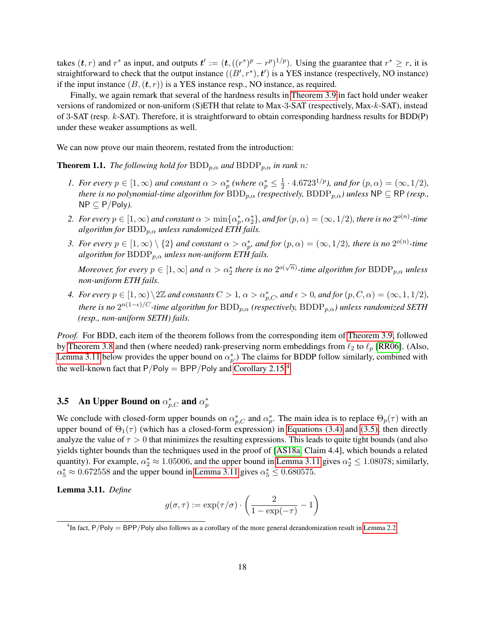takes  $(t, r)$  and  $r^*$  as input, and outputs  $t' := (t, ((r^*)^p - r^p)^{1/p})$ . Using the guarantee that  $r^* \ge r$ , it is straightforward to check that the output instance  $((B', r^*), t')$  is a YES instance (respectively, NO instance) if the input instance  $(B, (t, r))$  is a YES instance resp., NO instance, as required.

Finally, we again remark that several of the hardness results in [Theorem 3.9](#page-16-1) in fact hold under weaker versions of randomized or non-uniform (S)ETH that relate to Max-3-SAT (respectively, Max-k-SAT), instead of 3-SAT (resp. k-SAT). Therefore, it is straightforward to obtain corresponding hardness results for BDD(P) under these weaker assumptions as well.

We can now prove our main theorem, restated from the introduction:

**Theorem 1.1.** *The following hold for*  $BDD_{p,\alpha}$  *and*  $BDDP_{p,\alpha}$  *in rank n:* 

- *1. For every*  $p \in [1, \infty)$  *and constant*  $\alpha > \alpha_p^*$  *(where*  $\alpha_p^* \leq \frac{1}{2}$ )  $\frac{1}{2} \cdot 4.6723^{1/p}$ *), and for*  $(p, \alpha) = (\infty, 1/2)$ *, there is no polynomial-time algorithm for*  $BDD_{p,\alpha}$  *(respectively,*  $BDDP_{p,\alpha}$ *) unless*  $NP \subseteq RP$  *(resp.,* NP ⊆ P/Poly*).*
- 2. For every  $p \in [1,\infty)$  and constant  $\alpha > \min\{\alpha_p^*,\alpha_2^*\}$ , and for  $(p,\alpha)=(\infty,1/2)$ , there is no  $2^{o(n)}$ -time *algorithm for*  $BDD_{p,\alpha}$  *unless randomized ETH fails.*
- 3. For every  $p \in [1,\infty) \setminus \{2\}$  and constant  $\alpha > \alpha_p^*$ , and for  $(p,\alpha) = (\infty,1/2)$ , there is no  $2^{o(n)}$ -time *algorithm for*  $BDDP_{p,\alpha}$  *unless non-uniform ETH fails.*

*Moreover, for every*  $p \in [1, \infty]$  and  $\alpha > \alpha_2^*$  there is no  $2^{o(\sqrt{n})}$ -time algorithm for BDDP<sub>p, $\alpha$ </sub> unless *non-uniform ETH fails.*

*4. For every*  $p \in [1, \infty) \setminus 2\mathbb{Z}$  *and constants*  $C > 1$ ,  $\alpha > \alpha_{p,C}^*$ , and  $\epsilon > 0$ , and for  $(p, C, \alpha) = (\infty, 1, 1/2)$ , there is no  $2^{n(1-\epsilon)/C}$ -time algorithm for  $\mathrm{BDD}_{p,\alpha}$  (respectively,  $\mathrm{BDDP}_{p,\alpha}$ ) unless randomized SETH *(resp., non-uniform SETH) fails.*

*Proof.* For BDD, each item of the theorem follows from the corresponding item of [Theorem 3.9,](#page-16-1) followed by [Theorem 3.8](#page-15-5) and then (where needed) rank-preserving norm embeddings from  $\ell_2$  to  $\ell_p$  [\[RR06\]](#page-20-5). (Also, [Lemma 3.11](#page-17-0) below provides the upper bound on  $\alpha_p^*$ . The claims for BDDP follow similarly, combined with the well-known fact that  $P/Poly = BPP/Poly$  and [Corollary 2.15.](#page-11-0)<sup>[4](#page-17-1)</sup>

## 3.5 An Upper Bound on  $\alpha_{p,C}^*$  and  $\alpha_p^*$

We conclude with closed-form upper bounds on  $\alpha_{p,C}^*$  and  $\alpha_p^*$ . The main idea is to replace  $\Theta_p(\tau)$  with an upper bound of  $\Theta_1(\tau)$  (which has a closed-form expression) in [Equations \(3.4\)](#page-15-0) and [\(3.5\),](#page-15-1) then directly analyze the value of  $\tau > 0$  that minimizes the resulting expressions. This leads to quite tight bounds (and also yields tighter bounds than the techniques used in the proof of [\[AS18a,](#page-19-11) Claim 4.4], which bounds a related quantity). For example,  $\alpha_2^* \approx 1.05006$ , and the upper bound in [Lemma 3.11](#page-17-0) gives  $\alpha_2^* \le 1.08078$ ; similarly,  $\alpha_5^* \approx 0.672558$  and the upper bound in [Lemma 3.11](#page-17-0) gives  $\alpha_5^* \leq 0.680575$ .

<span id="page-17-0"></span>Lemma 3.11. *Define*

$$
g(\sigma, \tau) := \exp(\tau/\sigma) \cdot \left(\frac{2}{1 - \exp(-\tau)} - 1\right)
$$

<span id="page-17-1"></span><sup>&</sup>lt;sup>4</sup>In fact,  $P/Poly = BPP/Poly$  also follows as a corollary of the more general derandomization result in [Lemma 2.2.](#page-6-1)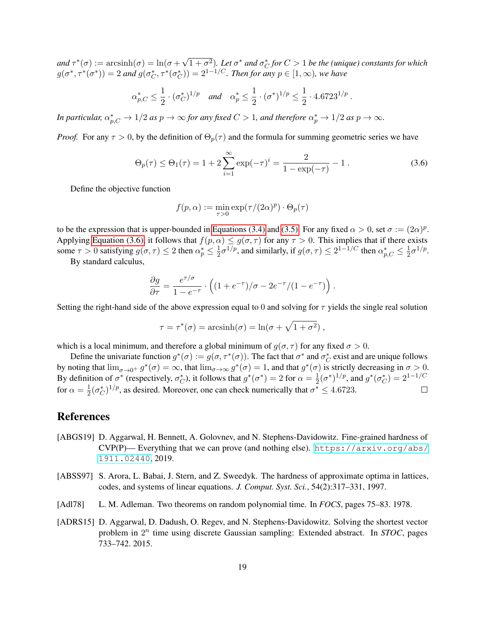*and*  $\tau^*(\sigma) := \operatorname{arcsinh}(\sigma) = \ln(\sigma +$ √  $\overline{(1+\sigma^2)}$ . Let  $\sigma^*$  and  $\sigma_C^*$  for  $C>1$  be the (unique) constants for which  $g(\sigma^*, \tau^*(\sigma^*)) = 2$  and  $g(\sigma_C^*, \tau^*(\sigma_C^*)) = 2^{1-1/C}$ . Then for any  $p \in [1, \infty)$ , we have

$$
\alpha_{p,C}^* \leq \frac{1}{2} \cdot (\sigma_C^*)^{1/p}
$$
 and  $\alpha_p^* \leq \frac{1}{2} \cdot (\sigma^*)^{1/p} \leq \frac{1}{2} \cdot 4.6723^{1/p}$ .

*In particular,*  $\alpha_{p,C}^* \to 1/2$  *as*  $p \to \infty$  *for any fixed*  $C > 1$ *, and therefore*  $\alpha_p^* \to 1/2$  *as*  $p \to \infty$ *.* 

*Proof.* For any  $\tau > 0$ , by the definition of  $\Theta_p(\tau)$  and the formula for summing geometric series we have

<span id="page-18-4"></span>
$$
\Theta_p(\tau) \le \Theta_1(\tau) = 1 + 2 \sum_{i=1}^{\infty} \exp(-\tau)^i = \frac{2}{1 - \exp(-\tau)} - 1.
$$
 (3.6)

Define the objective function

$$
f(p, \alpha) := \min_{\tau > 0} \exp(\tau / (2\alpha)^p) \cdot \Theta_p(\tau)
$$

to be the expression that is upper-bounded in [Equations \(3.4\)](#page-15-0) and [\(3.5\).](#page-15-1) For any fixed  $\alpha > 0$ , set  $\sigma := (2\alpha)^p$ . Applying [Equation \(3.6\),](#page-18-4) it follows that  $f(p, \alpha) \leq g(\sigma, \tau)$  for any  $\tau > 0$ . This implies that if there exists some  $\tau > 0$  satisfying  $g(\sigma, \tau) \leq 2$  then  $\alpha_p^* \leq \frac{1}{2}$  $\frac{1}{2}\sigma^{1/p}$ , and similarly, if  $g(\sigma, \tau) \leq 2^{1-1/C}$  then  $\alpha_{p, C}^* \leq \frac{1}{2}$  $rac{1}{2}\sigma^{1/p}$ . By standard calculus,

$$
\frac{\partial g}{\partial \tau} = \frac{e^{\tau/\sigma}}{1 - e^{-\tau}} \cdot \left( (1 + e^{-\tau})/\sigma - 2e^{-\tau}/(1 - e^{-\tau}) \right).
$$

Setting the right-hand side of the above expression equal to 0 and solving for  $\tau$  yields the single real solution

$$
\tau = \tau^*(\sigma) = \operatorname{arcsinh}(\sigma) = \ln(\sigma + \sqrt{1 + \sigma^2}),
$$

which is a local minimum, and therefore a global minimum of  $g(\sigma, \tau)$  for any fixed  $\sigma > 0$ .

Define the univariate function  $g^*(\sigma) := g(\sigma, \tau^*(\sigma))$ . The fact that  $\sigma^*$  and  $\sigma^*_{\mathcal{C}}$  exist and are unique follows by noting that  $\lim_{\sigma\to 0^+} g^*(\sigma) = \infty$ , that  $\lim_{\sigma\to\infty} g^*(\sigma) = 1$ , and that  $g^*(\sigma)$  is strictly decreasing in  $\sigma > 0$ . By definition of  $\sigma^*$  (respectively,  $\sigma_C^*$ ), it follows that  $g^*(\sigma^*) = 2$  for  $\alpha = \frac{1}{2}$  $\frac{1}{2}(\sigma^*)^{1/p}$ , and  $g^*(\sigma_C^*) = 2^{1-1/C}$ for  $\alpha = \frac{1}{2}$  $\frac{1}{2}(\sigma_C^*)^{1/p}$ , as desired. Moreover, one can check numerically that  $\sigma^* \leq 4.6723$ .  $\Box$ 

## References

- <span id="page-18-1"></span>[ABGS19] D. Aggarwal, H. Bennett, A. Golovnev, and N. Stephens-Davidowitz. Fine-grained hardness of  $CVP(P)$ — Everything that we can prove (and nothing else). [https://arxiv.org/abs/](https://arxiv.org/abs/1911.02440) [1911.02440](https://arxiv.org/abs/1911.02440), 2019.
- <span id="page-18-0"></span>[ABSS97] S. Arora, L. Babai, J. Stern, and Z. Sweedyk. The hardness of approximate optima in lattices, codes, and systems of linear equations. *J. Comput. Syst. Sci.*, 54(2):317–331, 1997.
- <span id="page-18-3"></span>[Adl78] L. M. Adleman. Two theorems on random polynomial time. In *FOCS*, pages 75–83. 1978.
- <span id="page-18-2"></span>[ADRS15] D. Aggarwal, D. Dadush, O. Regev, and N. Stephens-Davidowitz. Solving the shortest vector problem in  $2^n$  time using discrete Gaussian sampling: Extended abstract. In *STOC*, pages 733–742. 2015.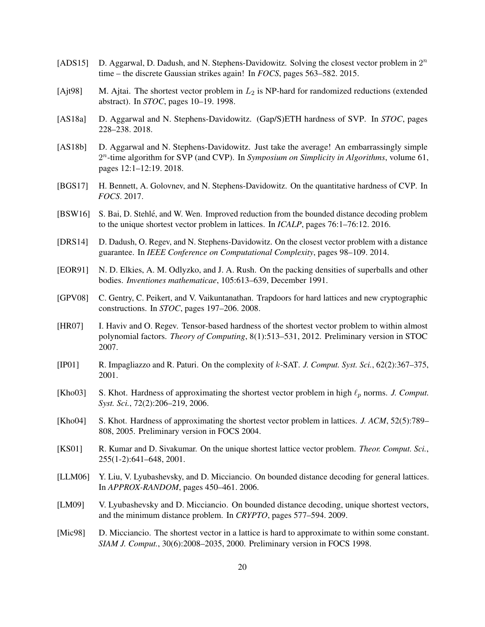- <span id="page-19-12"></span>[ADS15] D. Aggarwal, D. Dadush, and N. Stephens-Davidowitz. Solving the closest vector problem in  $2^n$ time – the discrete Gaussian strikes again! In *FOCS*, pages 563–582. 2015.
- <span id="page-19-0"></span>[Ajt98] M. Ajtai. The shortest vector problem in  $L_2$  is NP-hard for randomized reductions (extended abstract). In *STOC*, pages 10–19. 1998.
- <span id="page-19-11"></span>[AS18a] D. Aggarwal and N. Stephens-Davidowitz. (Gap/S)ETH hardness of SVP. In *STOC*, pages 228–238. 2018.
- <span id="page-19-13"></span>[AS18b] D. Aggarwal and N. Stephens-Davidowitz. Just take the average! An embarrassingly simple 2 n -time algorithm for SVP (and CVP). In *Symposium on Simplicity in Algorithms*, volume 61, pages 12:1–12:19. 2018.
- <span id="page-19-10"></span>[BGS17] H. Bennett, A. Golovnev, and N. Stephens-Davidowitz. On the quantitative hardness of CVP. In *FOCS*. 2017.
- <span id="page-19-8"></span>[BSW16] S. Bai, D. Stehlé, and W. Wen. Improved reduction from the bounded distance decoding problem to the unique shortest vector problem in lattices. In *ICALP*, pages 76:1–76:12. 2016.
- <span id="page-19-7"></span>[DRS14] D. Dadush, O. Regev, and N. Stephens-Davidowitz. On the closest vector problem with a distance guarantee. In *IEEE Conference on Computational Complexity*, pages 98–109. 2014.
- <span id="page-19-14"></span>[EOR91] N. D. Elkies, A. M. Odlyzko, and J. A. Rush. On the packing densities of superballs and other bodies. *Inventiones mathematicae*, 105:613–639, December 1991.
- <span id="page-19-5"></span>[GPV08] C. Gentry, C. Peikert, and V. Vaikuntanathan. Trapdoors for hard lattices and new cryptographic constructions. In *STOC*, pages 197–206. 2008.
- <span id="page-19-4"></span>[HR07] I. Haviv and O. Regev. Tensor-based hardness of the shortest vector problem to within almost polynomial factors. *Theory of Computing*, 8(1):513–531, 2012. Preliminary version in STOC 2007.
- <span id="page-19-9"></span>[IP01] R. Impagliazzo and R. Paturi. On the complexity of k-SAT. *J. Comput. Syst. Sci.*, 62(2):367–375, 2001.
- <span id="page-19-2"></span>[Kho03] S. Khot. Hardness of approximating the shortest vector problem in high  $\ell_p$  norms. *J. Comput. Syst. Sci.*, 72(2):206–219, 2006.
- <span id="page-19-3"></span>[Kho04] S. Khot. Hardness of approximating the shortest vector problem in lattices. *J. ACM*, 52(5):789– 808, 2005. Preliminary version in FOCS 2004.
- <span id="page-19-16"></span>[KS01] R. Kumar and D. Sivakumar. On the unique shortest lattice vector problem. *Theor. Comput. Sci.*, 255(1-2):641–648, 2001.
- <span id="page-19-6"></span>[LLM06] Y. Liu, V. Lyubashevsky, and D. Micciancio. On bounded distance decoding for general lattices. In *APPROX-RANDOM*, pages 450–461. 2006.
- <span id="page-19-15"></span>[LM09] V. Lyubashevsky and D. Micciancio. On bounded distance decoding, unique shortest vectors, and the minimum distance problem. In *CRYPTO*, pages 577–594. 2009.
- <span id="page-19-1"></span>[Mic98] D. Micciancio. The shortest vector in a lattice is hard to approximate to within some constant. *SIAM J. Comput.*, 30(6):2008–2035, 2000. Preliminary version in FOCS 1998.